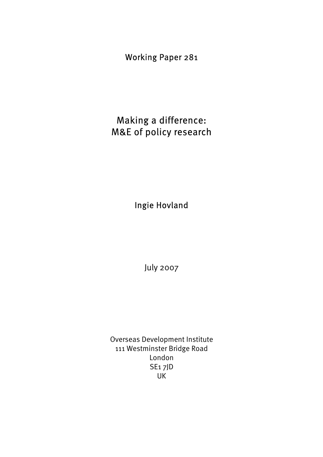Working Paper 281

Making a difference: M&E of policy research

Ingie Hovland

July 2007

Overseas Development Institute 111 Westminster Bridge Road London SE1 7JD UK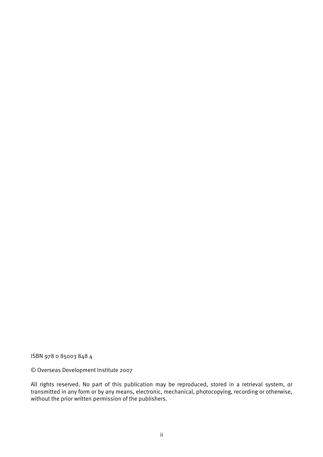ISBN 978 0 85003 848 4

© Overseas Development Institute 2007

All rights reserved. No part of this publication may be reproduced, stored in a retrieval system, or transmitted in any form or by any means, electronic, mechanical, photocopying, recording or otherwise, without the prior written permission of the publishers.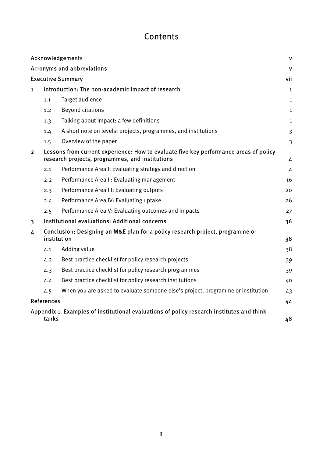# **Contents**

|                |                   | Acknowledgements                                                                                                                         | $\mathbf v$    |
|----------------|-------------------|------------------------------------------------------------------------------------------------------------------------------------------|----------------|
|                |                   | Acronyms and abbreviations                                                                                                               | $\mathbf v$    |
|                |                   | <b>Executive Summary</b>                                                                                                                 | vii            |
| $\mathbf{1}$   |                   | Introduction: The non-academic impact of research                                                                                        | $\mathbf{1}$   |
|                | 1.1               | Target audience                                                                                                                          | $\mathbf{1}$   |
|                | 1.2               | <b>Beyond citations</b>                                                                                                                  | $\mathbf{1}$   |
|                | 1.3               | Talking about impact: a few definitions                                                                                                  | 1              |
|                | 1.4               | A short note on levels: projects, programmes, and institutions                                                                           | $\overline{3}$ |
|                | 1.5               | Overview of the paper                                                                                                                    | 3              |
| $\overline{2}$ |                   | Lessons from current experience: How to evaluate five key performance areas of policy<br>research projects, programmes, and institutions | 4              |
|                | 2.1               | Performance Area I: Evaluating strategy and direction                                                                                    | 4              |
|                | 2.2               | Performance Area II: Evaluating management                                                                                               | 16             |
|                | 2.3               | Performance Area III: Evaluating outputs                                                                                                 | 20             |
|                | 2.4               | Performance Area IV: Evaluating uptake                                                                                                   | 26             |
|                | 2.5               | Performance Area V: Evaluating outcomes and impacts                                                                                      | 27             |
| 3              |                   | Institutional evaluations: Additional concerns                                                                                           | 36             |
| 4              | institution       | Conclusion: Designing an M&E plan for a policy research project, programme or                                                            | 38             |
|                | 4.1               | Adding value                                                                                                                             | 38             |
|                | 4.2               | Best practice checklist for policy research projects                                                                                     | 39             |
|                | 4.3               | Best practice checklist for policy research programmes                                                                                   | 39             |
|                | 4.4               | Best practice checklist for policy research institutions                                                                                 | 40             |
|                | 4.5               | When you are asked to evaluate someone else's project, programme or institution                                                          | 43             |
|                | <b>References</b> |                                                                                                                                          | 44             |
|                | tanks             | Appendix 1. Examples of institutional evaluations of policy research institutes and think                                                | 48             |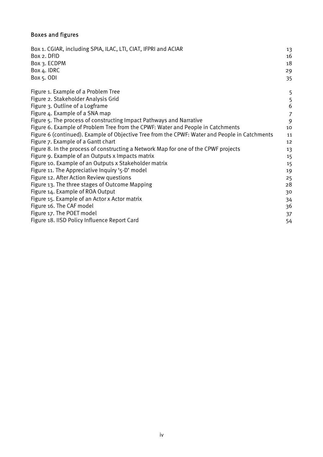## Boxes and figures

| Box 1. CGIAR, including SPIA, ILAC, LTI, CIAT, IFPRI and ACIAR<br>Box 2. DFID<br>Box 3. ECDPM<br>Box 4. IDRC<br>Box 5. ODI | 13<br>16<br>18<br>29<br>35 |
|----------------------------------------------------------------------------------------------------------------------------|----------------------------|
|                                                                                                                            |                            |
| Figure 1. Example of a Problem Tree                                                                                        | 5                          |
| Figure 2. Stakeholder Analysis Grid                                                                                        | 5                          |
| Figure 3. Outline of a Logframe                                                                                            | 6                          |
| Figure 4. Example of a SNA map                                                                                             | $\overline{7}$             |
| Figure 5. The process of constructing Impact Pathways and Narrative                                                        | 9                          |
| Figure 6. Example of Problem Tree from the CPWF: Water and People in Catchments                                            | 10                         |
| Figure 6 (continued). Example of Objective Tree from the CPWF: Water and People in Catchments                              | 11                         |
| Figure 7. Example of a Gantt chart                                                                                         | 12                         |
| Figure 8. In the process of constructing a Network Map for one of the CPWF projects                                        | 13                         |
| Figure 9. Example of an Outputs x Impacts matrix                                                                           | 15                         |
| Figure 10. Example of an Outputs x Stakeholder matrix                                                                      | 15                         |
| Figure 11. The Appreciative Inquiry '5-D' model                                                                            | 19                         |
| Figure 12. After Action Review questions                                                                                   | 25                         |
| Figure 13. The three stages of Outcome Mapping                                                                             | 28                         |
| Figure 14. Example of ROA Output                                                                                           | 30                         |
| Figure 15. Example of an Actor x Actor matrix                                                                              | 34                         |
| Figure 16. The CAF model                                                                                                   | 36                         |
| Figure 17. The POET model                                                                                                  | 37                         |
| Figure 18. IISD Policy Influence Report Card                                                                               | 54                         |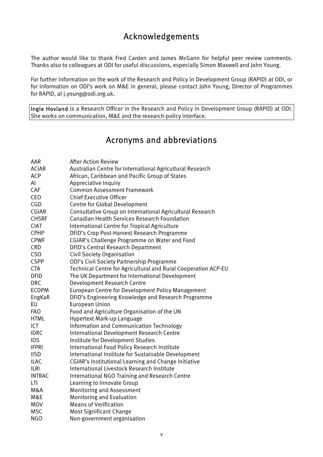# Acknowledgements

The author would like to thank Fred Carden and James McGann for helpful peer review comments. Thanks also to colleagues at ODI for useful discussions, especially Simon Maxwell and John Young.

For further information on the work of the Research and Policy in Development Group (RAPID) at ODI, or for information on ODI's work on M&E in general, please contact John Young, Director of Programmes for RAPID, at j.young@odi.org.uk.

Ingie Hovland is a Research Officer in the Research and Policy in Development Group (RAPID) at ODI. She works on communication, M&E and the research-policy interface.

# Acronyms and abbreviations

| AAR             | <b>After Action Review</b>                                     |
|-----------------|----------------------------------------------------------------|
| <b>ACIAR</b>    | Australian Centre for International Agricultural Research      |
| <b>ACP</b>      | African, Caribbean and Pacific Group of States                 |
| Al              | Appreciative Inquiry                                           |
| CAF             | <b>Common Assessment Framework</b>                             |
| <b>CEO</b>      | <b>Chief Executive Officer</b>                                 |
| CGD             | Centre for Global Development                                  |
| CGIAR           | Consultative Group on International Agricultural Research      |
| <b>CHSRF</b>    | <b>Canadian Health Services Research Foundation</b>            |
| <b>CIAT</b>     | International Centre for Tropical Agriculture                  |
| <b>CPHP</b>     | DFID's Crop Post-Harvest Research Programme                    |
| <b>CPWF</b>     | CGIAR's Challenge Programme on Water and Food                  |
| <b>CRD</b>      | DFID's Central Research Department                             |
| CS <sub>O</sub> | <b>Civil Society Organisation</b>                              |
| <b>CSPP</b>     | ODI's Civil Society Partnership Programme                      |
| <b>CTA</b>      | Technical Centre for Agricultural and Rural Cooperation ACP-EU |
| <b>DFID</b>     | The UK Department for International Development                |
| <b>DRC</b>      | Development Research Centre                                    |
| <b>ECDPM</b>    | European Centre for Development Policy Management              |
| EngKaR          | DFID's Engineering Knowledge and Research Programme            |
| EU              | <b>European Union</b>                                          |
| <b>FAO</b>      | Food and Agriculture Organisation of the UN                    |
| <b>HTML</b>     | Hypertext Mark-up Language                                     |
| <b>ICT</b>      | Information and Communication Technology                       |
| <b>IDRC</b>     | International Development Research Centre                      |
| <b>IDS</b>      | Institute for Development Studies                              |
| <b>IFPRI</b>    | International Food Policy Research Institute                   |
| <b>IISD</b>     | International Institute for Sustainable Development            |
| <b>ILAC</b>     | <b>CGIAR's Institutional Learning and Change Initiative</b>    |
| <b>ILRI</b>     | International Livestock Research Institute                     |
| <b>INTRAC</b>   | International NGO Training and Research Centre                 |
| LTI             | Learning to Innovate Group                                     |
| M&A             | Monitoring and Assessment                                      |
| M&E             | Monitoring and Evaluation                                      |
| <b>MOV</b>      | <b>Means of Verification</b>                                   |
| <b>MSC</b>      | <b>Most Significant Change</b>                                 |
| <b>NGO</b>      | Non-government organisation                                    |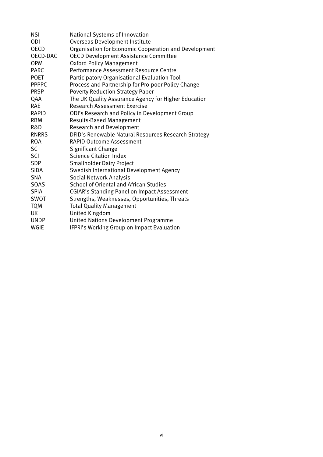| <b>NSI</b>   | National Systems of Innovation                        |
|--------------|-------------------------------------------------------|
| ODI          | Overseas Development Institute                        |
| <b>OECD</b>  | Organisation for Economic Cooperation and Development |
| OECD-DAC     | <b>OECD Development Assistance Committee</b>          |
| <b>OPM</b>   | <b>Oxford Policy Management</b>                       |
| <b>PARC</b>  | Performance Assessment Resource Centre                |
| <b>POET</b>  | Participatory Organisational Evaluation Tool          |
| <b>PPPPC</b> | Process and Partnership for Pro-poor Policy Change    |
| <b>PRSP</b>  | <b>Poverty Reduction Strategy Paper</b>               |
| QAA          | The UK Quality Assurance Agency for Higher Education  |
| <b>RAE</b>   | Research Assessment Exercise                          |
| RAPID        | ODI's Research and Policy in Development Group        |
| <b>RBM</b>   | <b>Results-Based Management</b>                       |
| R&D          | <b>Research and Development</b>                       |
| <b>RNRRS</b> | DFID's Renewable Natural Resources Research Strategy  |
| ROA.         | <b>RAPID Outcome Assessment</b>                       |
| <b>SC</b>    | Significant Change                                    |
| SCI          | <b>Science Citation Index</b>                         |
| <b>SDP</b>   | <b>Smallholder Dairy Project</b>                      |
| <b>SIDA</b>  | Swedish International Development Agency              |
| <b>SNA</b>   | <b>Social Network Analysis</b>                        |
| <b>SOAS</b>  | School of Oriental and African Studies                |
| <b>SPIA</b>  | <b>CGIAR's Standing Panel on Impact Assessment</b>    |
| SWOT         | Strengths, Weaknesses, Opportunities, Threats         |
| <b>TQM</b>   | <b>Total Quality Management</b>                       |
| UK           | <b>United Kingdom</b>                                 |
| <b>UNDP</b>  | United Nations Development Programme                  |
| WGIE         | IFPRI's Working Group on Impact Evaluation            |
|              |                                                       |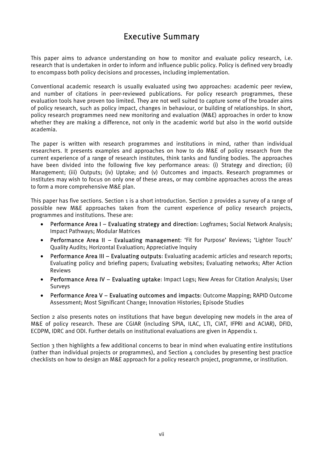# Executive Summary

This paper aims to advance understanding on how to monitor and evaluate policy research, i.e. research that is undertaken in order to inform and influence public policy. Policy is defined very broadly to encompass both policy decisions and processes, including implementation.

Conventional academic research is usually evaluated using two approaches: academic peer review, and number of citations in peer-reviewed publications. For policy research programmes, these evaluation tools have proven too limited. They are not well suited to capture some of the broader aims of policy research, such as policy impact, changes in behaviour, or building of relationships. In short, policy research programmes need new monitoring and evaluation (M&E) approaches in order to know whether they are making a difference, not only in the academic world but also in the world outside academia.

The paper is written with research programmes and institutions in mind, rather than individual researchers. It presents examples and approaches on how to do M&E of policy research from the current experience of a range of research institutes, think tanks and funding bodies. The approaches have been divided into the following five key performance areas: (i) Strategy and direction; (ii) Management; (iii) Outputs; (iv) Uptake; and (v) Outcomes and impacts. Research programmes or institutes may wish to focus on only one of these areas, or may combine approaches across the areas to form a more comprehensive M&E plan.

This paper has five sections. Section 1 is a short introduction. Section 2 provides a survey of a range of possible new M&E approaches taken from the current experience of policy research projects, programmes and institutions. These are:

- Performance Area I Evaluating strategy and direction: Logframes; Social Network Analysis; Impact Pathways; Modular Matrices
- Performance Area II Evaluating management: 'Fit for Purpose' Reviews; 'Lighter Touch' Quality Audits; Horizontal Evaluation; Appreciative Inquiry
- Performance Area III Evaluating outputs: Evaluating academic articles and research reports; Evaluating policy and briefing papers; Evaluating websites; Evaluating networks; After Action Reviews
- Performance Area IV Evaluating uptake: Impact Logs; New Areas for Citation Analysis; User Surveys
- Performance Area V Evaluating outcomes and impacts: Outcome Mapping; RAPID Outcome Assessment; Most Significant Change; Innovation Histories; Episode Studies

Section 2 also presents notes on institutions that have begun developing new models in the area of M&E of policy research. These are CGIAR (including SPIA, ILAC, LTI, CIAT, IFPRI and ACIAR), DFID, ECDPM, IDRC and ODI. Further details on institutional evaluations are given in Appendix 1.

Section 3 then highlights a few additional concerns to bear in mind when evaluating entire institutions (rather than individual projects or programmes), and Section 4 concludes by presenting best practice checklists on how to design an M&E approach for a policy research project, programme, or institution.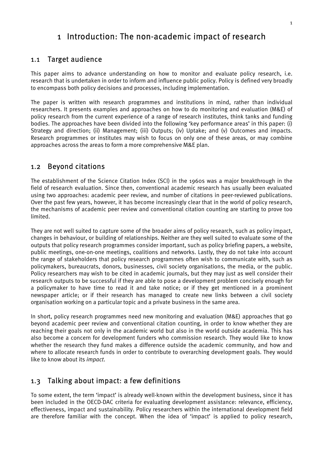# 1 Introduction: The non-academic impact of research

#### 1.1 Target audience

This paper aims to advance understanding on how to monitor and evaluate policy research, i.e. research that is undertaken in order to inform and influence public policy. Policy is defined very broadly to encompass both policy decisions and processes, including implementation.

The paper is written with research programmes and institutions in mind, rather than individual researchers. It presents examples and approaches on how to do monitoring and evaluation (M&E) of policy research from the current experience of a range of research institutes, think tanks and funding bodies. The approaches have been divided into the following 'key performance areas' in this paper: (i) Strategy and direction; (ii) Management; (iii) Outputs; (iv) Uptake; and (v) Outcomes and impacts. Research programmes or institutes may wish to focus on only one of these areas, or may combine approaches across the areas to form a more comprehensive M&E plan.

#### 1.2 Beyond citations

The establishment of the Science Citation Index (SCI) in the 1960s was a major breakthrough in the field of research evaluation. Since then, conventional academic research has usually been evaluated using two approaches: academic peer review, and number of citations in peer-reviewed publications. Over the past few years, however, it has become increasingly clear that in the world of policy research, the mechanisms of academic peer review and conventional citation counting are starting to prove too limited.

They are not well suited to capture some of the broader aims of policy research, such as policy impact, changes in behaviour, or building of relationships. Neither are they well suited to evaluate some of the outputs that policy research programmes consider important, such as policy briefing papers, a website, public meetings, one-on-one meetings, coalitions and networks. Lastly, they do not take into account the range of stakeholders that policy research programmes often wish to communicate with, such as policymakers, bureaucrats, donors, businesses, civil society organisations, the media, or the public. Policy researchers may wish to be cited in academic journals, but they may just as well consider their research outputs to be successful if they are able to pose a development problem concisely enough for a policymaker to have time to read it and take notice; or if they get mentioned in a prominent newspaper article; or if their research has managed to create new links between a civil society organisation working on a particular topic and a private business in the same area.

In short, policy research programmes need new monitoring and evaluation (M&E) approaches that go beyond academic peer review and conventional citation counting, in order to know whether they are reaching their goals not only in the academic world but also in the world outside academia. This has also become a concern for development funders who commission research. They would like to know whether the research they fund makes a difference outside the academic community, and how and where to allocate research funds in order to contribute to overarching development goals. They would like to know about its *impact*.

## 1.3 Talking about impact: a few definitions

To some extent, the term 'impact' is already well-known within the development business, since it has been included in the OECD-DAC criteria for evaluating development assistance: relevance, efficiency, effectiveness, impact and sustainability. Policy researchers within the international development field are therefore familiar with the concept. When the idea of 'impact' is applied to policy research,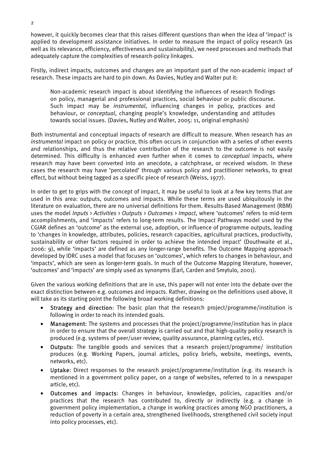however, it quickly becomes clear that this raises different questions than when the idea of 'impact' is applied to development assistance initiatives. In order to measure the impact of policy research (as well as its relevance, efficiency, effectiveness and sustainability), we need processes and methods that adequately capture the complexities of research-policy linkages.

Firstly, indirect impacts, outcomes and changes are an important part of the non-academic impact of research. These impacts are hard to pin down. As Davies, Nutley and Walter put it:

Non-academic research impact is about identifying the influences of research findings on policy, managerial and professional practices, social behaviour or public discourse. Such impact may be *instrumental*, influencing changes in policy, practices and behaviour, or *conceptual*, changing people's knowledge, understanding and attitudes towards social issues. (Davies, Nutley and Walter, 2005: 11, original emphasis)

Both instrumental and conceptual impacts of research are difficult to measure. When research has an *instrumental* impact on policy or practice, this often occurs in conjunction with a series of other events and relationships, and thus the relative contribution of the research to the outcome is not easily determined. This difficulty is enhanced even further when it comes to *conceptual* impacts, where research may have been converted into an anecdote, a catchphrase, or received wisdom. In these cases the research may have 'percolated' through various policy and practitioner networks, to great effect, but without being tagged as a specific piece of research (Weiss, 1977).

In order to get to grips with the concept of impact, it may be useful to look at a few key terms that are used in this area: outputs, outcomes and impacts. While these terms are used ubiquitously in the literature on evaluation, there are no universal definitions for them. Results-Based Management (RBM) uses the model *Inputs* > *Activities* > *Outputs* > *Outcomes* > *Impact*, where 'outcomes' refers to mid-term accomplishments, and 'impacts' refers to long-term results. The Impact Pathways model used by the CGIAR defines an 'outcome' as the external use, adoption, or influence of programme outputs, leading to 'changes in knowledge, attributes, policies, research capacities, agricultural practices, productivity, sustainability or other factors required in order to achieve the intended impact' (Douthwaite et al., 2006: 9), while 'impacts' are defined as any longer-range benefits. The Outcome Mapping approach developed by IDRC uses a model that focuses on 'outcomes', which refers to changes in behaviour, and 'impacts', which are seen as longer-term goals. In much of the Outcome Mapping literature, however, 'outcomes' and 'impacts' are simply used as synonyms (Earl, Carden and Smytulo, 2001).

Given the various working definitions that are in use, this paper will not enter into the debate over the exact distinction between e.g. outcomes and impacts. Rather, drawing on the definitions used above, it will take as its starting point the following broad working definitions:

- Strategy and direction: The basic plan that the research project/programme/institution is following in order to reach its intended goals.
- Management: The systems and processes that the project/programme/institution has in place in order to ensure that the overall strategy is carried out and that high-quality policy research is produced (e.g. systems of peer/user review, quality assurance, planning cycles, etc).
- Outputs: The tangible goods and services that a research project/programme/ institution produces (e.g. Working Papers, journal articles, policy briefs, website, meetings, events, networks, etc).
- Uptake: Direct responses to the research project/programme/institution (e.g. its research is mentioned in a government policy paper, on a range of websites, referred to in a newspaper article, etc).
- Outcomes and impacts: Changes in behaviour, knowledge, policies, capacities and/or practices that the research has contributed to, directly or indirectly (e.g. a change in government policy implementation, a change in working practices among NGO practitioners, a reduction of poverty in a certain area, strengthened livelihoods, strengthened civil society input into policy processes, etc).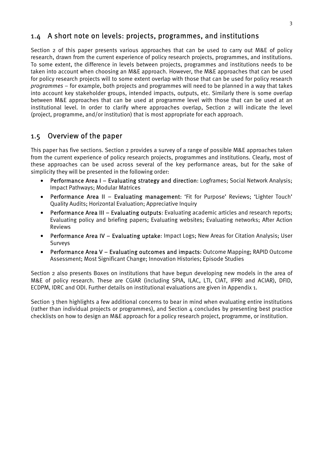## 1.4 A short note on levels: projects, programmes, and institutions

Section 2 of this paper presents various approaches that can be used to carry out M&E of policy research, drawn from the current experience of policy research projects, programmes, and institutions. To some extent, the difference in levels between projects, programmes and institutions needs to be taken into account when choosing an M&E approach. However, the M&E approaches that can be used for policy research projects will to some extent overlap with those that can be used for policy research *programmes* – for example, both projects and programmes will need to be planned in a way that takes into account key stakeholder groups, intended impacts, outputs, etc. Similarly there is some overlap between M&E approaches that can be used at programme level with those that can be used at an institutional level. In order to clarify where approaches overlap, Section 2 will indicate the level (project, programme, and/or institution) that is most appropriate for each approach.

## 1.5 Overview of the paper

This paper has five sections. Section 2 provides a survey of a range of possible M&E approaches taken from the current experience of policy research projects, programmes and institutions. Clearly, most of these approaches can be used across several of the key performance areas, but for the sake of simplicity they will be presented in the following order:

- Performance Area I Evaluating strategy and direction: Logframes; Social Network Analysis; Impact Pathways; Modular Matrices
- Performance Area II Evaluating management: 'Fit for Purpose' Reviews; 'Lighter Touch' Quality Audits; Horizontal Evaluation; Appreciative Inquiry
- Performance Area III Evaluating outputs: Evaluating academic articles and research reports; Evaluating policy and briefing papers; Evaluating websites; Evaluating networks; After Action Reviews
- Performance Area IV Evaluating uptake: Impact Logs; New Areas for Citation Analysis; User Surveys
- Performance Area V Evaluating outcomes and impacts: Outcome Mapping; RAPID Outcome Assessment; Most Significant Change; Innovation Histories; Episode Studies

Section 2 also presents Boxes on institutions that have begun developing new models in the area of M&E of policy research. These are CGIAR (including SPIA, ILAC, LTI, CIAT, IFPRI and ACIAR), DFID, ECDPM, IDRC and ODI. Further details on institutional evaluations are given in Appendix 1.

Section 3 then highlights a few additional concerns to bear in mind when evaluating entire institutions (rather than individual projects or programmes), and Section 4 concludes by presenting best practice checklists on how to design an M&E approach for a policy research project, programme, or institution.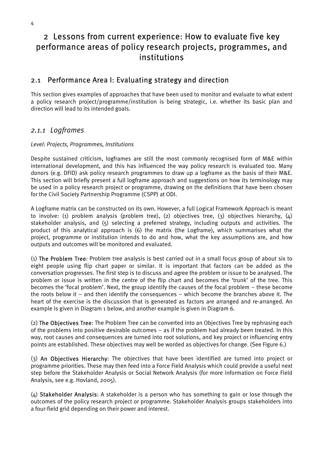# 2 Lessons from current experience: How to evaluate five key performance areas of policy research projects, programmes, and institutions

## 2.1 Performance Area I: Evaluating strategy and direction

This section gives examples of approaches that have been used to monitor and evaluate to what extent a policy research project/programme/institution is being strategic, i.e. whether its basic plan and direction will lead to its intended goals.

## *2.1.1 Logframes*

#### *Level: Projects, Programmes, Institutions*

Despite sustained criticism, logframes are still the most commonly recognised form of M&E within international development, and this has influenced the way policy research is evaluated too. Many donors (e.g. DFID) ask policy research programmes to draw up a logframe as the basis of their M&E. This section will briefly present a full logframe approach and suggestions on how its terminology may be used in a policy research project or programme, drawing on the definitions that have been chosen for the Civil Society Partnership Programme (CSPP) at ODI.

A Logframe matrix can be constructed on its own. However, a full Logical Framework Approach is meant to involve: (1) problem analysis (problem tree), (2) objectives tree, (3) objectives hierarchy,  $(4)$ stakeholder analysis, and (5) selecting a preferred strategy, including outputs and activities. The product of this analytical approach is (6) the matrix (the Logframe), which summarises what the project, programme or institution intends to do and how, what the key assumptions are, and how outputs and outcomes will be monitored and evaluated.

(1) The Problem Tree: Problem tree analysis is best carried out in a small focus group of about six to eight people using flip chart paper or similar. It is important that factors can be added as the conversation progresses. The first step is to discuss and agree the problem or issue to be analysed. The problem or issue is written in the centre of the flip chart and becomes the 'trunk' of the tree. This becomes the 'focal problem'. Next, the group identify the causes of the focal problem – these become the roots below it – and then identify the consequences – which become the branches above it. The heart of the exercise is the discussion that is generated as factors are arranged and re-arranged. An example is given in Diagram 1 below, and another example is given in Diagram 6.

(2) The Objectives Tree: The Problem Tree can be converted into an Objectives Tree by rephrasing each of the problems into positive desirable outcomes – as if the problem had already been treated. In this way, root causes and consequences are turned into root solutions, and key project or influencing entry points are established. These objectives may well be worded as objectives for change. (See Figure 6.)

(3) An Objectives Hierarchy: The objectives that have been identified are turned into project or programme priorities. These may then feed into a Force Field Analysis which could provide a useful next step before the Stakeholder Analysis or Social Network Analysis (for more information on Force Field Analysis, see e.g. Hovland, 2005).

(4) Stakeholder Analysis: A stakeholder is a person who has something to gain or lose through the outcomes of the policy research project or programme. Stakeholder Analysis groups stakeholders into a four-field grid depending on their power and interest.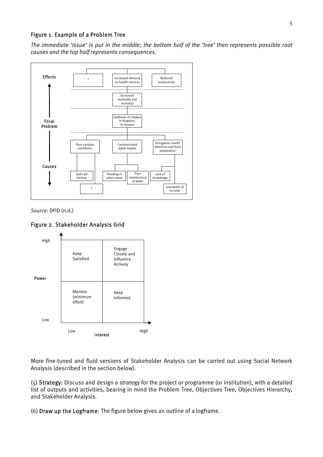#### Figure 1. Example of a Problem Tree

*The immediate 'issue' is put in the middle; the bottom half of the 'tree' then represents possible root causes and the top half represents consequences.* 



*Source*: DFID (n.d.)

#### Figure 2. Stakeholder Analysis Grid



More fine-tuned and fluid versions of Stakeholder Analysis can be carried out using Social Network Analysis (described in the section below).

(5) Strategy: Discuss and design a strategy for the project or programme (or institution), with a detailed list of outputs and activities, bearing in mind the Problem Tree, Objectives Tree, Objectives Hierarchy, and Stakeholder Analysis.

(6) Draw up the Logframe: The figure below gives an outline of a logframe.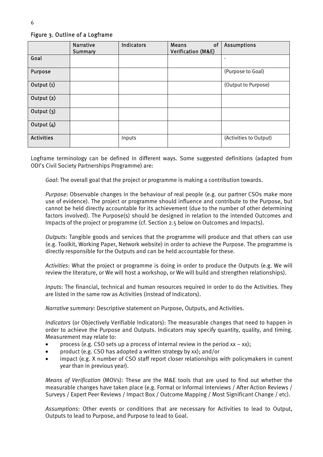#### Narrative **Summary** Indicators Means of Verification (M&E) **Assumptions** Goal - Purpose (Purpose to Goal) Output (1) (Output to Purpose) Output (2) Output (3) Output (4) **Activities** Inputs (Activities to Output)

Figure 3. Outline of a Logframe

Logframe terminology can be defined in different ways. Some suggested definitions (adapted from ODI's Civil Society Partnerships Programme) are:

*Goal*: The overall goal that the project or programme is making a contribution towards.

*Purpose*: Observable changes in the behaviour of real people (e.g. our partner CSOs make more use of evidence). The project or programme should influence and contribute to the Purpose, but cannot be held directly accountable for its achievement (due to the number of other determining factors involved). The Purpose(s) should be designed in relation to the intended Outcomes and Impacts of the project or programme (cf. Section 2.5 below on Outcomes and Impacts).

*Outputs*: Tangible goods and services that the programme will produce and that others can use (e.g. Toolkit, Working Paper, Network website) in order to achieve the Purpose. The programme is directly responsible for the Outputs and can be held accountable for these.

*Activities*: What the project or programme is doing in order to produce the Outputs (e.g. We will review the literature, or We will host a workshop, or We will build and strengthen relationships).

*Inputs*: The financial, technical and human resources required in order to do the Activities. They are listed in the same row as Activities (instead of Indicators).

*Narrative summary*: Descriptive statement on Purpose, Outputs, and Activities.

*Indicators* (or Objectively Verifiable Indicators): The measurable changes that need to happen in order to achieve the Purpose and Outputs. Indicators may specify quantity, quality, and timing. Measurement may relate to:

- process (e.g. CSO sets up a process of internal review in the period  $xx xx$ );
- product (e.g. CSO has adopted a written strategy by xx); and/or
- impact (e.g. X number of CSO staff report closer relationships with policymakers in current year than in previous year).

*Means of Verification* (MOVs): These are the M&E tools that are used to find out whether the measurable changes have taken place (e.g. Formal or Informal Interviews / After Action Reviews / Surveys / Expert Peer Reviews / Impact Box / Outcome Mapping / Most Significant Change / etc).

*Assumptions*: Other events or conditions that are necessary for Activities to lead to Output, Outputs to lead to Purpose, and Purpose to lead to Goal.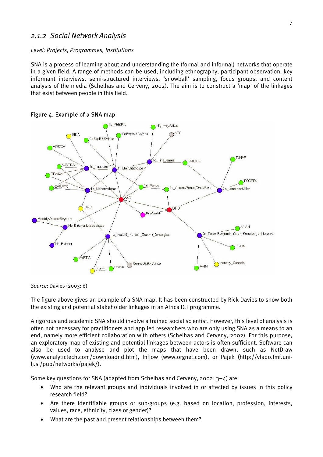## *2.1.2 Social Network Analysis*

#### *Level: Projects, Programmes, Institutions*

SNA is a process of learning about and understanding the (formal and informal) networks that operate in a given field. A range of methods can be used, including ethnography, participant observation, key informant interviews, semi-structured interviews, 'snowball' sampling, focus groups, and content analysis of the media (Schelhas and Cerveny, 2002). The aim is to construct a 'map' of the linkages that exist between people in this field.



#### Figure 4. Example of a SNA map

*Source*: Davies (2003: 6)

The figure above gives an example of a SNA map. It has been constructed by Rick Davies to show both the existing and potential stakeholder linkages in an Africa ICT programme.

A rigorous and academic SNA should involve a trained social scientist. However, this level of analysis is often not necessary for practitioners and applied researchers who are only using SNA as a means to an end, namely more efficient collaboration with others (Schelhas and Cerveny, 2002). For this purpose, an exploratory map of existing and potential linkages between actors is often sufficient. Software can also be used to analyse and plot the maps that have been drawn, such as NetDraw (www.analytictech.com/downloadnd.htm), Inflow (www.orgnet.com), or Pajek (http://vlado.fmf.unilj.si/pub/networks/pajek/).

Some key questions for SNA (adapted from Schelhas and Cerveny, 2002:  $3-4$ ) are:

- Who are the relevant groups and individuals involved in or affected by issues in this policy research field?
- Are there identifiable groups or sub-groups (e.g. based on location, profession, interests, values, race, ethnicity, class or gender)?
- What are the past and present relationships between them?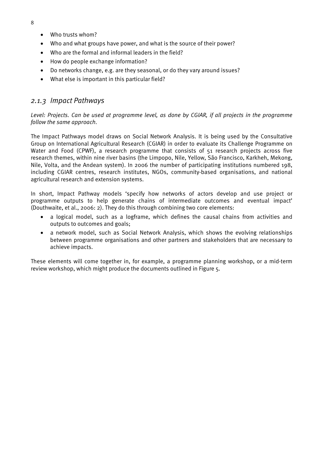- Who trusts whom?
- Who and what groups have power, and what is the source of their power?
- Who are the formal and informal leaders in the field?
- How do people exchange information?
- Do networks change, e.g. are they seasonal, or do they vary around issues?
- What else is important in this particular field?

## *2.1.3 Impact Pathways*

*Level: Projects. Can be used at programme level, as done by CGIAR, if all projects in the programme follow the same approach.* 

The Impact Pathways model draws on Social Network Analysis. It is being used by the Consultative Group on International Agricultural Research (CGIAR) in order to evaluate its Challenge Programme on Water and Food (CPWF), a research programme that consists of 51 research projects across five research themes, within nine river basins (the Limpopo, Nile, Yellow, São Francisco, Karkheh, Mekong, Nile, Volta, and the Andean system). In 2006 the number of participating institutions numbered 198, including CGIAR centres, research institutes, NGOs, community-based organisations, and national agricultural research and extension systems.

In short, Impact Pathway models 'specify how networks of actors develop and use project or programme outputs to help generate chains of intermediate outcomes and eventual impact' (Douthwaite, et al., 2006: 2). They do this through combining two core elements:

- a logical model, such as a logframe, which defines the causal chains from activities and outputs to outcomes and goals;
- a network model, such as Social Network Analysis, which shows the evolving relationships between programme organisations and other partners and stakeholders that are necessary to achieve impacts.

These elements will come together in, for example, a programme planning workshop, or a mid-term review workshop, which might produce the documents outlined in Figure 5.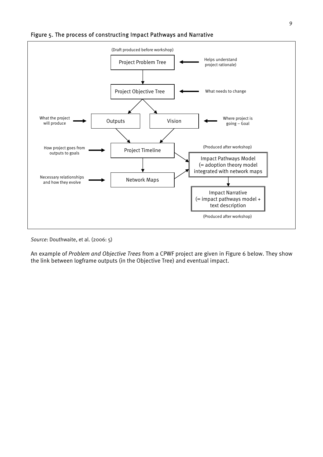



*Source*: Douthwaite, et al. (2006: 5)

An example of *Problem and Objective Trees* from a CPWF project are given in Figure 6 below. They show the link between logframe outputs (in the Objective Tree) and eventual impact.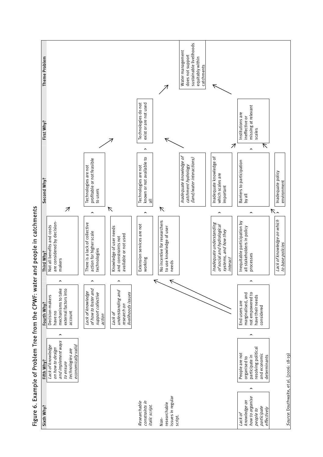

Figure 6. Example of Problem Tree from the CPWF: water and people in catchments Figure 6. Example of Problem Tree from the CPWF: water and people in catchments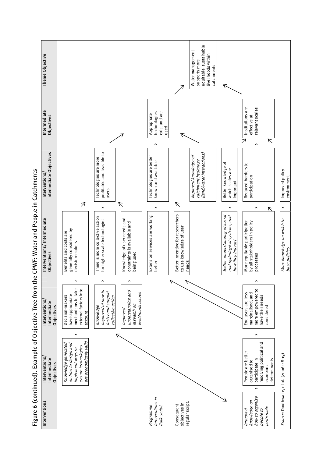

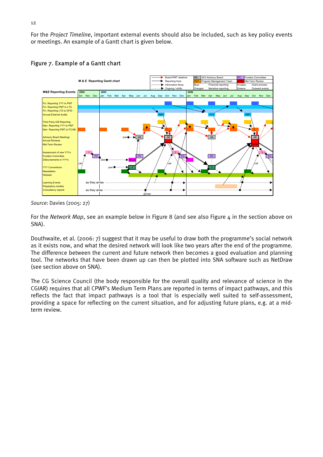For the *Project Timeline*, important external events should also be included, such as key policy events or meetings. An example of a Gantt chart is given below.



#### Figure 7. Example of a Gantt chart

For the *Network Map*, see an example below in Figure 8 (and see also Figure 4 in the section above on SNA).

Douthwaite, et al. (2006: 7) suggest that it may be useful to draw both the programme's social network as it exists now, and what the desired network will look like two years after the end of the programme. The difference between the current and future network then becomes a good evaluation and planning tool. The networks that have been drawn up can then be plotted into SNA software such as NetDraw (see section above on SNA).

The CG Science Council (the body responsible for the overall quality and relevance of science in the CGIAR) requires that all CPWF's Medium Term Plans are reported in terms of impact pathways, and this reflects the fact that impact pathways is a tool that is especially well suited to self-assessment, providing a space for reflecting on the current situation, and for adjusting future plans, e.g. at a midterm review.

*Source*: Davies (2005: 27)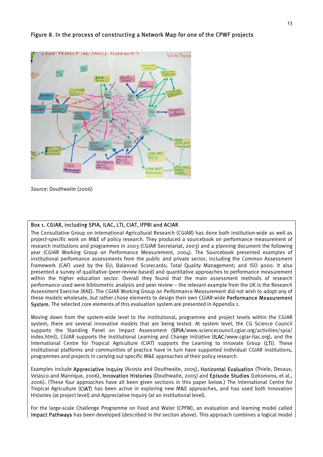

#### Figure 8. In the process of constructing a Network Map for one of the CPWF projects

*Source*: Douthwaite (2006)

#### Box 1. CGIAR, including SPIA, ILAC, LTI, CIAT, IFPRI and ACIAR

The Consultative Group on International Agricultural Research (CGIAR) has done both institution-wide as well as project-specific work on M&E of policy research. They produced a sourcebook on performance measurement of research institutions and programmes in 2003 (CGIAR Secretariat, 2003) and a planning document the following year (CGIAR Working Group on Performance Measurement, 2004). The Sourcebook presented examples of institutional performance assessments from the public and private sector, including the Common Assessment Framework (CAF) used by the EU; Balanced Scorecards; Total Quality Management; and ISO 9000. It also presented a survey of qualitative (peer-review based) and quantitative approaches to performance measurement within the higher education sector. Overall they found that the main assessment methods of research performance used were bibliometric analysis and peer review – the relevant example from the UK is the Research Assessment Exercise (RAE). The CGIAR Working Group on Performance Measurement did not wish to adopt any of these models wholesale, but rather chose elements to design their own CGIAR-wide Performance Measurement System. The selected core elements of this evaluation system are presented in Appendix 1.

Moving down from the system-wide level to the institutional, programme and project levels within the CGIAR system, there are several innovative models that are being tested. At system level, the CG Science Council supports the Standing Panel on Impact Assessment (SPIA/www.sciencecouncil.cgiar.org/activities/spia/ index.html), CGIAR supports the Institutional Learning and Change Initiative (ILAC/www.cgiar-ilac.org), and the International Centre for Tropical Agriculture (CIAT) supports the Learning to Innovate Group (LTI). These institutional platforms and communities of practice have in turn have supported individual CGIAR institutions, programmes and projects in carrying out specific M&E approaches of their policy research.

Examples include Appreciative Inquiry (Acosta and Douthwaite, 2005), Horizontal Evaluation (Thiele, Devaux, Velasco and Manrique, 2006), Innovation Histories (Douthwaite, 2005) and Episode Studies (Leksmono, et al., 2006). (These four approaches have all been given sections in this paper below.) The International Centre for Tropical Agriculture (CIAT) has been active in exploring new M&E approaches, and has used both Innovation Histories (at project level) and Appreciative Inquiry (at an institutional level).

For the large-scale Challenge Programme on Food and Water (CPFW), an evaluation and learning model called Impact Pathways has been developed (described in the section above). This approach combines a logical model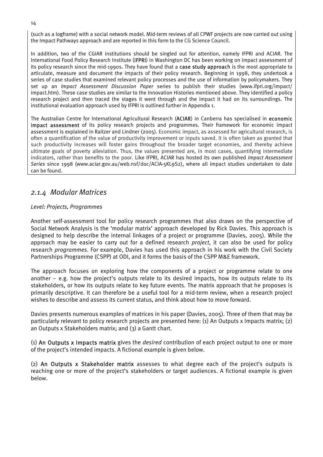(such as a logframe) with a social network model. Mid-term reviews of all CPWF projects are now carried out using the Impact Pathways approach and are reported in this form to the CG Science Council.

In addition, two of the CGIAR institutions should be singled out for attention, namely IFPRI and ACIAR. The International Food Policy Research Institute (IFPRI) in Washington DC has been working on impact assessment of its policy research since the mid-1990s. They have found that a case study approach is the most appropriate to articulate, measure and document the impacts of their policy research. Beginning in 1998, they undertook a series of case studies that examined relevant policy processes and the use of information by policymakers. They set up an *Impact Assessment Discussion Paper* series to publish their studies (www.ifpri.org/impact/ impact.htm). These case studies are similar to the Innovation Histories mentioned above. They identified a policy research project and then traced the stages it went through and the impact it had on its surroundings. The institutional evaluation approach used by IFPRI is outlined further in Appendix 1.

The Australian Centre for International Agricultural Research (ACIAR) in Canberra has specialised in economic impact assessment of its policy research projects and programmes. Their framework for economic impact assessment is explained in Raitzer and Lindner (2005). Economic impact, as assessed for agricultural research, is often a quantification of the value of productivity improvement or inputs saved. It is often taken as granted that such productivity increases will foster gains throughout the broader target economies, and thereby achieve ultimate goals of poverty alleviation. Thus, the values presented are, in most cases, quantifying intermediate indicators, rather than benefits to the poor. Like IFPRI, ACIAR has hosted its own published *Impact Assessment Series* since 1998 (www.aciar.gov.au/web.nsf/doc/ACIA-5KL9S2), where all impact studies undertaken to date can be found.

## *2.1.4 Modular Matrices*

#### *Level: Projects, Programmes*

Another self-assessment tool for policy research programmes that also draws on the perspective of Social Network Analysis is the 'modular matrix' approach developed by Rick Davies. This approach is designed to help describe the internal linkages of a project or programme (Davies, 2005). While the approach may be easier to carry out for a defined research *project*, it can also be used for policy research *programmes*. For example, Davies has used this approach in his work with the Civil Society Partnerships Programme (CSPP) at ODI, and it forms the basis of the CSPP M&E framework.

The approach focuses on exploring how the components of a project or programme relate to one another – e.g. how the project's outputs relate to its desired impacts, how its outputs relate to its stakeholders, or how its outputs relate to key future events. The matrix approach that he proposes is primarily descriptive. It can therefore be a useful tool for a mid-term review, when a research project wishes to describe and assess its current status, and think about how to move forward.

Davies presents numerous examples of matrices in his paper (Davies, 2005). Three of them that may be particularly relevant to policy research projects are presented here: (1) An Outputs x Impacts matrix; (2) an Outputs x Stakeholders matrix; and (3) a Gantt chart.

(1) An Outputs x Impacts matrix gives the *desired* contribution of each project output to one or more of the project's intended impacts. A fictional example is given below.

(2) An Outputs x Stakeholder matrix assesses to what degree each of the project's outputs is reaching one or more of the project's stakeholders or target audiences. A fictional example is given below.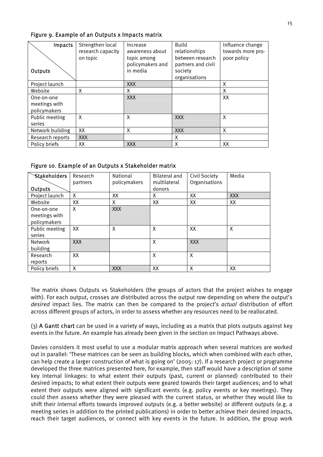| Impacts<br><b>Outputs</b>                   | Strengthen local<br>research capacity<br>on topic | Increase<br>awareness about<br>topic among<br>policymakers and<br>in media | Build<br>relationships<br>between research<br>partners and civil<br>society<br>organisations | Influence change<br>towards more pro-<br>poor policy |
|---------------------------------------------|---------------------------------------------------|----------------------------------------------------------------------------|----------------------------------------------------------------------------------------------|------------------------------------------------------|
| Project launch                              |                                                   | XXX                                                                        |                                                                                              | X                                                    |
| Website                                     | X                                                 | X                                                                          |                                                                                              | X                                                    |
| One-on-one<br>meetings with<br>policymakers |                                                   | <b>XXX</b>                                                                 |                                                                                              | XX                                                   |
| Public meeting<br>series                    | X                                                 | X                                                                          | <b>XXX</b>                                                                                   | X                                                    |
| Network building                            | XX                                                | X                                                                          | <b>XXX</b>                                                                                   | X                                                    |
| Research reports                            | <b>XXX</b>                                        |                                                                            | х                                                                                            |                                                      |
| Policy briefs                               | XХ                                                | <b>XXX</b>                                                                 | X                                                                                            | XX                                                   |

#### Figure 9. Example of an Outputs x Impacts matrix

Figure 10. Example of an Outputs x Stakeholder matrix

| <b>Stakeholders</b><br><b>Outputs</b>       | Research<br>partners | National<br>policymakers | <b>Bilateral and</b><br>multilateral<br>donors | Civil Society<br>Organisations | Media      |
|---------------------------------------------|----------------------|--------------------------|------------------------------------------------|--------------------------------|------------|
| Project launch                              | X                    | XX                       | X                                              | XX                             | <b>XXX</b> |
| Website                                     | XX                   | x                        | XX                                             | XX                             | XX         |
| One-on-one<br>meetings with<br>policymakers | X                    | <b>XXX</b>               |                                                |                                |            |
| Public meeting<br>series                    | XX                   | X                        | X                                              | XX                             | X          |
| <b>Network</b><br>building                  | <b>XXX</b>           |                          | X                                              | <b>XXX</b>                     |            |
| Research<br>reports                         | XX                   |                          | X                                              | Χ                              |            |
| Policy briefs                               | Χ                    | <b>XXX</b>               | XX                                             | Χ                              | XХ         |

The matrix shows Outputs vs Stakeholders (the groups of actors that the project wishes to engage with). For each output, crosses are distributed across the output row depending on where the output's *desired* impact lies. The matrix can then be compared to the project's *actual* distribution of effort across different groups of actors, in order to assess whether any resources need to be reallocated.

(3) A Gantt chart can be used in a variety of ways, including as a matrix that plots outputs against key events in the future. An example has already been given in the section on Impact Pathways above.

Davies considers it most useful to use a modular matrix approach when several matrices are worked out in parallel: 'These matrices can be seen as building blocks, which when combined with each other, can help create a larger construction of what is going on' (2005: 17). If a research project or programme developed the three matrices presented here, for example, then staff would have a description of some key internal linkages: to what extent their outputs (past, current or planned) contributed to their desired impacts; to what extent their outputs were geared towards their target audiences; and to what extent their outputs were aligned with significant events (e.g. policy events or key meetings). They could then assess whether they were pleased with the current status, or whether they would like to shift their internal efforts towards improved outputs (e.g. a better website) or different outputs (e.g. a meeting series in addition to the printed publications) in order to better achieve their desired impacts, reach their target audiences, or connect with key events in the future. In addition, the group work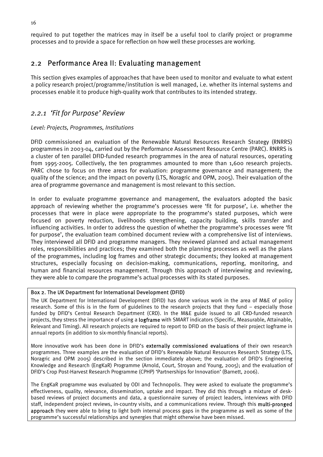required to put together the matrices may in itself be a useful tool to clarify project or programme processes and to provide a space for reflection on how well these processes are working.

## 2.2 Performance Area II: Evaluating management

This section gives examples of approaches that have been used to monitor and evaluate to what extent a policy research project/programme/institution is well managed, i.e. whether its internal systems and processes enable it to produce high-quality work that contributes to its intended strategy.

## *2.2.1 'Fit for Purpose' Review*

#### *Level: Projects, Programmes, Institutions*

DFID commissioned an evaluation of the Renewable Natural Resources Research Strategy (RNRRS) programmes in 2003-04, carried out by the Performance Assessment Resource Centre (PARC). RNRRS is a cluster of ten parallel DFID-funded research programmes in the area of natural resources, operating from 1995-2005. Collectively, the ten programmes amounted to more than 1,600 research projects. PARC chose to focus on three areas for evaluation: programme governance and management; the quality of the science; and the impact on poverty (LTS, Noragric and OPM, 2005). Their evaluation of the area of programme governance and management is most relevant to this section.

In order to evaluate programme governance and management, the evaluators adopted the basic approach of reviewing whether the programme's processes were 'fit for purpose', i.e. whether the processes that were in place were appropriate to the programme's stated purposes, which were focused on poverty reduction, livelihoods strengthening, capacity building, skills transfer and influencing activities. In order to address the question of whether the programme's processes were 'fit for purpose', the evaluation team combined document review with a comprehensive list of interviews. They interviewed all DFID and programme managers. They reviewed planned and actual management roles, responsibilities and practices; they examined both the planning processes as well as the plans of the programmes, including log frames and other strategic documents; they looked at management structures, especially focusing on decision-making, communications, reporting, monitoring, and human and financial resources management. Through this approach of interviewing and reviewing, they were able to compare the programme's actual processes with its stated purposes.

#### Box 2. The UK Department for International Development (DFID)

The UK Department for International Development (DFID) has done various work in the area of M&E of policy research. Some of this is in the form of guidelines to the research projects that they fund – especially those funded by DFID's Central Research Department (CRD). In the M&E guide issued to all CRD-funded research projects, they stress the importance of using a **logframe** with SMART indicators (Specific, Measurable, Attainable, Relevant and Timing). All research projects are required to report to DFID on the basis of their project logframe in annual reports (in addition to six-monthly financial reports).

More innovative work has been done in DFID's externally commissioned evaluations of their own research programmes. Three examples are the evaluation of DFID's Renewable Natural Resources Research Strategy (LTS, Noragric and OPM 2005) described in the section immediately above; the evaluation of DFID's Engineering Knowledge and Research (EngKaR) Programme (Arnold, Court, Stroyan and Young, 2005); and the evaluation of DFID's Crop Post-Harvest Research Programme (CPHP) 'Partnerships for Innovation' (Barnett, 2006).

The EngKaR programme was evaluated by ODI and Technopolis. They were asked to evaluate the programme's effectiveness, quality, relevance, dissemination, uptake and impact. They did this through a mixture of deskbased reviews of project documents and data, a questionnaire survey of project leaders, interviews with DFID staff, independent project reviews, in-country visits, and a communications review. Through this multi-pronged approach they were able to bring to light both internal process gaps in the programme as well as some of the programme's successful relationships and synergies that might otherwise have been missed.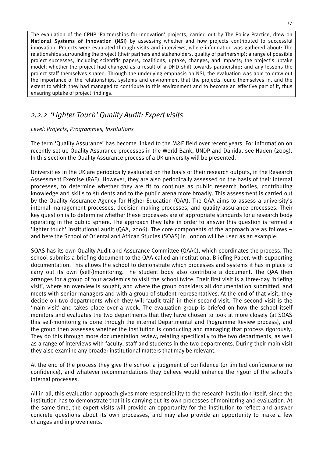The evaluation of the CPHP 'Partnerships for Innovation' projects, carried out by The Policy Practice, drew on National Systems of Innovation (NSI) by assessing whether and how projects contributed to successful innovation. Projects were evaluated through visits and interviews, where information was gathered about: The relationships surrounding the project (their partners and stakeholders, quality of partnership); a range of possible project successes, including scientific papers, coalitions, uptake, changes, and impacts; the project's uptake model; whether the project had changed as a result of a DFID shift towards partnership; and any lessons the project staff themselves shared. Through the underlying emphasis on NSI, the evaluation was able to draw out the importance of the relationships, systems and environment that the projects found themselves in, and the extent to which they had managed to contribute to this environment and to become an effective part of it, thus ensuring uptake of project findings.

## *2.2.2 'Lighter Touch' Quality Audit: Expert visits*

#### *Level: Projects, Programmes, Institutions*

The term 'Quality Assurance' has become linked to the M&E field over recent years. For information on recently set-up Quality Assurance processes in the World Bank, UNDP and Danida, see Haden (2005). In this section the Quality Assurance process of a UK university will be presented.

Universities in the UK are periodically evaluated on the basis of their research outputs, in the Research Assessment Exercise (RAE). However, they are also periodically assessed on the basis of their internal processes, to determine whether they are fit to continue as public research bodies, contributing knowledge and skills to students and to the public arena more broadly. This assessment is carried out by the Quality Assurance Agency for Higher Education (QAA). The QAA aims to assess a university's internal management processes, decision-making processes, and quality assurance processes. Their key question is to determine whether these processes are of appropriate standards for a research body operating in the public sphere. The approach they take in order to answer this question is termed a 'lighter touch' institutional audit (QAA, 2006). The core components of the approach are as follows – and here the School of Oriental and African Studies (SOAS) in London will be used as an example:

SOAS has its own Quality Audit and Assurance Committee (QAAC), which coordinates the process. The school submits a briefing document to the QAA called an Institutional Briefing Paper, with supporting documentation. This allows the school to demonstrate which processes and systems it has in place to carry out its own (self-)monitoring. The student body also contribute a document. The QAA then arranges for a group of four academics to visit the school twice. Their first visit is a three-day 'briefing visit', where an overview is sought, and where the group considers all documentation submitted, and meets with senior managers and with a group of student representatives. At the end of that visit, they decide on two departments which they will 'audit trail' in their second visit. The second visit is the 'main visit' and takes place over a week. The evaluation group is briefed on how the school itself monitors and evaluates the two departments that they have chosen to look at more closely (at SOAS this self-monitoring is done through the internal Departmental and Programme Review process), and the group then assesses whether the institution is conducting and managing that process rigorously. They do this through more documentation review, relating specifically to the two departments, as well as a range of interviews with faculty, staff and students in the two departments. During their main visit they also examine any broader institutional matters that may be relevant.

At the end of the process they give the school a judgment of confidence (or limited confidence or no confidence), and whatever recommendations they believe would enhance the rigour of the school's internal processes.

All in all, this evaluation approach gives more responsibility to the research institution itself, since the institution has to demonstrate that it is carrying out its own processes of monitoring and evaluation. At the same time, the expert visits will provide an opportunity for the institution to reflect and answer concrete questions about its own processes, and may also provide an opportunity to make a few changes and improvements.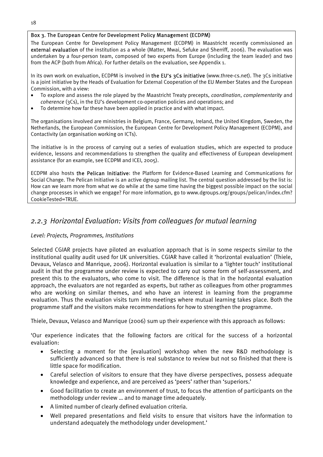#### Box 3. The European Centre for Development Policy Management (ECDPM)

The European Centre for Development Policy Management (ECDPM) in Maastricht recently commissioned an external evaluation of the institution as a whole (Matter, Mwai, Sefuke and Sherriff, 2006). The evaluation was undertaken by a four-person team, composed of two experts from Europe (including the team leader) and two from the ACP (both from Africa). For further details on the evaluation, see Appendix 1.

In its own work on evaluation, ECDPM is involved in the EU's 3Cs initiative (www.three-cs.net). The 3Cs initiative is a joint initiative by the Heads of Evaluation for External Cooperation of the EU Member States and the European Commission, with a view:

- To explore and assess the role played by the Maastricht Treaty precepts, *coordination*, *complementarity* and *coherence* (3Cs), in the EU's development co-operation policies and operations; and
- To determine how far these have been applied in practice and with what impact.

The organisations involved are ministries in Belgium, France, Germany, Ireland, the United Kingdom, Sweden, the Netherlands, the European Commission, the European Centre for Development Policy Management (ECDPM), and Contactivity (an organisation working on ICTs).

The initiative is in the process of carrying out a series of evaluation studies, which are expected to produce evidence, lessons and recommendations to strengthen the quality and effectiveness of European development assistance (for an example, see ECDPM and ICEI, 2005).

ECDPM also hosts the Pelican Initiative: the Platform for Evidence-Based Learning and Communications for Social Change. The Pelican Initiative is an active dgroup mailing list. The central question addressed by the list is: How can we learn more from what we do while at the same time having the biggest possible impact on the social change processes in which we engage? For more information, go to www.dgroups.org/groups/pelican/index.cfm? CookieTested=TRUE.

## *2.2.3 Horizontal Evaluation: Visits from colleagues for mutual learning*

#### *Level: Projects, Programmes, Institutions*

Selected CGIAR projects have piloted an evaluation approach that is in some respects similar to the institutional quality audit used for UK universities. CGIAR have called it 'horizontal evaluation' (Thiele, Devaux, Velasco and Manrique, 2006). Horizontal evaluation is similar to a 'lighter touch' institutional audit in that the programme under review is expected to carry out some form of self-assessment, and present this to the evaluators, who come to visit. The difference is that in the horizontal evaluation approach, the evaluators are not regarded as experts, but rather as colleagues from other programmes who are working on similar themes, and who have an interest in learning from the programme evaluation. Thus the evaluation visits turn into meetings where mutual learning takes place. Both the programme staff and the visitors make recommendations for how to strengthen the programme.

Thiele, Devaux, Velasco and Manrique (2006) sum up their experience with this approach as follows:

'Our experience indicates that the following factors are critical for the success of a horizontal evaluation:

- Selecting a moment for the [evaluation] workshop when the new R&D methodology is sufficiently advanced so that there is real substance to review but not so finished that there is little space for modification.
- Careful selection of visitors to ensure that they have diverse perspectives, possess adequate knowledge and experience, and are perceived as 'peers' rather than 'superiors.'
- Good facilitation to create an environment of trust, to focus the attention of participants on the methodology under review … and to manage time adequately.
- A limited number of clearly defined evaluation criteria.
- Well prepared presentations and field visits to ensure that visitors have the information to understand adequately the methodology under development.'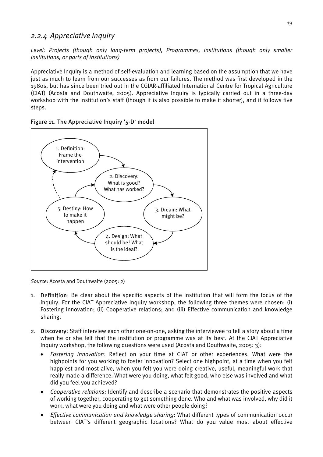## *2.2.4 Appreciative Inquiry*

*Level: Projects (though only long-term projects), Programmes, Institutions (though only smaller institutions, or parts of institutions)* 

Appreciative Inquiry is a method of self-evaluation and learning based on the assumption that we have just as much to learn from our successes as from our failures. The method was first developed in the 1980s, but has since been tried out in the CGIAR-affiliated International Centre for Tropical Agriculture (CIAT) (Acosta and Douthwaite, 2005). Appreciative Inquiry is typically carried out in a three-day workshop with the institution's staff (though it is also possible to make it shorter), and it follows five steps.





*Source*: Acosta and Douthwaite (2005: 2)

- 1. Definition: Be clear about the specific aspects of the institution that will form the focus of the inquiry. For the CIAT Appreciative Inquiry workshop, the following three themes were chosen: (i) Fostering innovation; (ii) Cooperative relations; and (iii) Effective communication and knowledge sharing.
- 2. Discovery: Staff interview each other one-on-one, asking the interviewee to tell a story about a time when he or she felt that the institution or programme was at its best. At the CIAT Appreciative Inquiry workshop, the following questions were used (Acosta and Douthwaite, 2005: 3):
	- *Fostering innovation*: Reflect on your time at CIAT or other experiences. What were the highpoints for you working to foster innovation? Select one highpoint, at a time when you felt happiest and most alive, when you felt you were doing creative, useful, meaningful work that really made a difference. What were you doing, what felt good, who else was involved and what did you feel you achieved?
	- *Cooperative relations*: Identify and describe a scenario that demonstrates the positive aspects of working together, cooperating to get something done. Who and what was involved, why did it work, what were you doing and what were other people doing?
	- *Effective communication and knowledge sharing*: What different types of communication occur between CIAT's different geographic locations? What do you value most about effective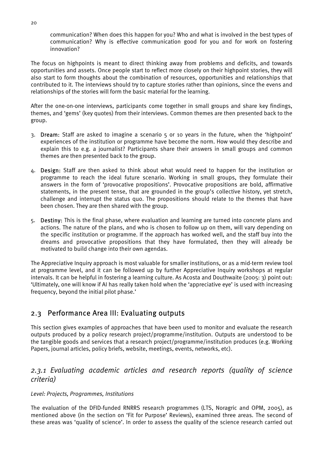communication? When does this happen for you? Who and what is involved in the best types of communication? Why is effective communication good for you and for work on fostering innovation?

The focus on highpoints is meant to direct thinking away from problems and deficits, and towards opportunities and assets. Once people start to reflect more closely on their highpoint stories, they will also start to form thoughts about the combination of resources, opportunities and relationships that contributed to it. The interviews should try to capture stories rather than opinions, since the evens and relationships of the stories will form the basic material for the learning.

After the one-on-one interviews, participants come together in small groups and share key findings, themes, and 'gems' (key quotes) from their interviews. Common themes are then presented back to the group.

- 3. Dream: Staff are asked to imagine a scenario 5 or 10 years in the future, when the 'highpoint' experiences of the institution or programme have become the norm. How would they describe and explain this to e.g. a journalist? Participants share their answers in small groups and common themes are then presented back to the group.
- 4. Design: Staff are then asked to think about what would need to happen for the institution or programme to reach the ideal future scenario. Working in small groups, they formulate their answers in the form of 'provocative propositions'. Provocative propositions are bold, affirmative statements, in the present tense, that are grounded in the group's collective history, yet stretch, challenge and interrupt the status quo. The propositions should relate to the themes that have been chosen. They are then shared with the group.
- 5. Destiny: This is the final phase, where evaluation and learning are turned into concrete plans and actions. The nature of the plans, and who is chosen to follow up on them, will vary depending on the specific institution or programme. If the approach has worked well, and the staff buy into the dreams and provocative propositions that they have formulated, then they will already be motivated to build change into their own agendas.

The Appreciative Inquiry approach is most valuable for smaller institutions, or as a mid-term review tool at programme level, and it can be followed up by further Appreciative Inquiry workshops at regular intervals. It can be helpful in fostering a learning culture. As Acosta and Douthwaite (2005: 3) point out: 'Ultimately, one will know if AI has really taken hold when the 'appreciative eye' is used with increasing frequency, beyond the initial pilot phase.'

## 2.3 Performance Area III: Evaluating outputs

This section gives examples of approaches that have been used to monitor and evaluate the research outputs produced by a policy research project/programme/institution. Outputs are understood to be the tangible goods and services that a research project/programme/institution produces (e.g. Working Papers, journal articles, policy briefs, website, meetings, events, networks, etc).

## *2.3.1 Evaluating academic articles and research reports (quality of science criteria)*

#### *Level: Projects, Programmes, Institutions*

The evaluation of the DFID-funded RNRRS research programmes (LTS, Noragric and OPM, 2005), as mentioned above (in the section on 'Fit for Purpose' Reviews), examined three areas. The second of these areas was 'quality of science'. In order to assess the quality of the science research carried out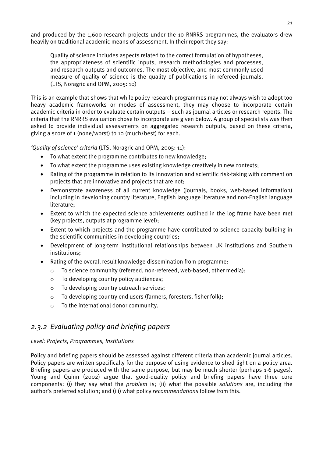and produced by the 1,600 research projects under the 10 RNRRS programmes, the evaluators drew heavily on traditional academic means of assessment. In their report they say:

Quality of science includes aspects related to the correct formulation of hypotheses, the appropriateness of scientific inputs, research methodologies and processes, and research outputs and outcomes. The most objective, and most commonly used measure of quality of science is the quality of publications in refereed journals. (LTS, Noragric and OPM, 2005: 10)

This is an example that shows that while policy research programmes may not always wish to adopt too heavy academic frameworks or modes of assessment, they may choose to incorporate certain academic criteria in order to evaluate certain outputs – such as journal articles or research reports. The criteria that the RNRRS evaluation chose to incorporate are given below. A group of specialists was then asked to provide individual assessments on aggregated research outputs, based on these criteria, giving a score of 1 (none/worst) to 10 (much/best) for each.

*'Quality of science' criteria* (LTS, Noragric and OPM, 2005: 11):

- To what extent the programme contributes to new knowledge;
- To what extent the programme uses existing knowledge creatively in new contexts;
- Rating of the programme in relation to its innovation and scientific risk-taking with comment on projects that are innovative and projects that are not;
- Demonstrate awareness of all current knowledge (journals, books, web-based information) including in developing country literature, English language literature and non-English language literature;
- Extent to which the expected science achievements outlined in the log frame have been met (key projects, outputs at programme level);
- Extent to which projects and the programme have contributed to science capacity building in the scientific communities in developing countries;
- Development of long-term institutional relationships between UK institutions and Southern institutions;
- Rating of the overall result knowledge dissemination from programme:
	- o To science community (refereed, non-refereed, web-based, other media);
	- o To developing country policy audiences;
	- o To developing country outreach services;
	- o To developing country end users (farmers, foresters, fisher folk);
	- o To the international donor community.

## *2.3.2 Evaluating policy and briefing papers*

#### *Level: Projects, Programmes, Institutions*

Policy and briefing papers should be assessed against different criteria than academic journal articles. Policy papers are written specifically for the purpose of using evidence to shed light on a policy area. Briefing papers are produced with the same purpose, but may be much shorter (perhaps 1-6 pages). Young and Quinn (2002) argue that good-quality policy and briefing papers have three core components: (i) they say what the *problem* is; (ii) what the possible *solutions* are, including the author's preferred solution; and (iii) what policy *recommendations* follow from this.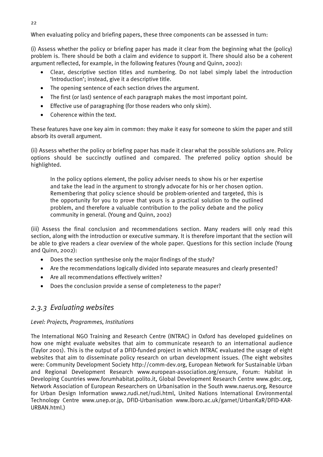When evaluating policy and briefing papers, these three components can be assessed in turn:

(i) Assess whether the policy or briefing paper has made it clear from the beginning what the (policy) problem is. There should be both a claim and evidence to support it. There should also be a coherent argument reflected, for example, in the following features (Young and Quinn, 2002):

- Clear, descriptive section titles and numbering. Do not label simply label the introduction 'Introduction'; instead, give it a descriptive title.
- The opening sentence of each section drives the argument.
- The first (or last) sentence of each paragraph makes the most important point.
- Effective use of paragraphing (for those readers who only skim).
- Coherence within the text.

These features have one key aim in common: they make it easy for someone to skim the paper and still absorb its overall argument.

(ii) Assess whether the policy or briefing paper has made it clear what the possible solutions are. Policy options should be succinctly outlined and compared. The preferred policy option should be highlighted.

In the policy options element, the policy adviser needs to show his or her expertise and take the lead in the argument to strongly advocate for his or her chosen option. Remembering that policy science should be problem-oriented and targeted, this is the opportunity for you to prove that yours is a practical solution to the outlined problem, and therefore a valuable contribution to the policy debate and the policy community in general. (Young and Quinn, 2002)

(iii) Assess the final conclusion and recommendations section. Many readers will only read this section, along with the introduction or executive summary. It is therefore important that the section will be able to give readers a clear overview of the whole paper. Questions for this section include (Young and Quinn, 2002):

- Does the section synthesise only the major findings of the study?
- Are the recommendations logically divided into separate measures and clearly presented?
- Are all recommendations effectively written?
- Does the conclusion provide a sense of completeness to the paper?

## *2.3.3 Evaluating websites*

#### *Level: Projects, Programmes, Institutions*

The International NGO Training and Research Centre (INTRAC) in Oxford has developed guidelines on how one might evaluate websites that aim to communicate research to an international audience (Taylor 2001). This is the output of a DFID-funded project in which INTRAC evaluated the usage of eight websites that aim to disseminate policy research on urban development issues. (The eight websites were: Community Development Society http://comm-dev.org, European Network for Sustainable Urban and Regional Development Research www.european-association.org/ensure, Forum: Habitat in Developing Countries www.forumhabitat.polito.it, Global Development Research Centre www.gdrc.org, Network Association of European Researchers on Urbanisation in the South www.naerus.org, Resource for Urban Design Information www2.rudi.net/rudi.html, United Nations International Environmental Technology Centre www.unep.or.jp, DFID-Urbanisation www.lboro.ac.uk/garnet/UrbanKaR/DFID-KAR-URBAN.html.)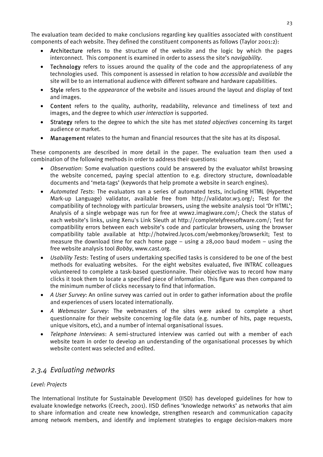The evaluation team decided to make conclusions regarding key qualities associated with constituent components of each website. They defined the constituent components as follows (Taylor 2001:2):

- Architecture refers to the structure of the website and the logic by which the pages interconnect. This component is examined in order to assess the site's *navigability*.
- Technology refers to issues around the quality of the code and the appropriateness of any technologies used. This component is assessed in relation to how *accessible* and *available* the site will be to an international audience with different software and hardware capabilities.
- Style refers to the *appearance* of the website and issues around the layout and display of text and images.
- Content refers to the quality, authority, readability, relevance and timeliness of text and images, and the degree to which *user interaction* is supported.
- Strategy refers to the degree to which the site has met *stated objectives* concerning its target audience or market.
- Management relates to the human and financial resources that the site has at its disposal.

These components are described in more detail in the paper. The evaluation team then used a combination of the following methods in order to address their questions:

- *Observation*: Some evaluation questions could be answered by the evaluator whilst browsing the website concerned, paying special attention to e.g. directory structure, downloadable documents and 'meta-tags' (keywords that help promote a website in search engines).
- *Automated Tests*: The evaluators ran a series of automated tests, including HTML (Hypertext Mark-up Language) validator, available free from http://validator.w3.org/; Test for the compatibility of technology with particular browsers, using the website analysis tool 'Dr HTML'; Analysis of a single webpage was run for free at www2.imagiware.com/; Check the status of each website's links, using Xenu's Link Sleuth at http://completelyfreesoftware.com/; Test for compatibility errors between each website's code and particular browsers, using the browser compatibility table available at http://hotwired.lycos.com/webmonkey/browserkit; Test to measure the download time for each home page – using a 28,000 baud modem – using the free website analysis tool *Bobby*, www.cast.org.
- *Usability Tests*: Testing of users undertaking specified tasks is considered to be one of the best methods for evaluating websites. For the eight websites evaluated, five INTRAC colleagues volunteered to complete a task-based questionnaire. Their objective was to record how many clicks it took them to locate a specified piece of information. This figure was then compared to the minimum number of clicks necessary to find that information.
- *A User Survey*: An online survey was carried out in order to gather information about the profile and experiences of users located internationally.
- *A Webmaster Survey*: The webmasters of the sites were asked to complete a short questionnaire for their website concerning log-file data (e.g. number of hits, page requests, unique visitors, etc), and a number of internal organisational issues.
- *Telephone Interviews*: A semi-structured interview was carried out with a member of each website team in order to develop an understanding of the organisational processes by which website content was selected and edited.

## *2.3.4 Evaluating networks*

#### *Level: Projects*

The International Institute for Sustainable Development (IISD) has developed guidelines for how to evaluate knowledge networks (Creech, 2001). IISD defines 'knowledge networks' as networks that aim to share information and create new knowledge, strengthen research and communication capacity among network members, and identify and implement strategies to engage decision-makers more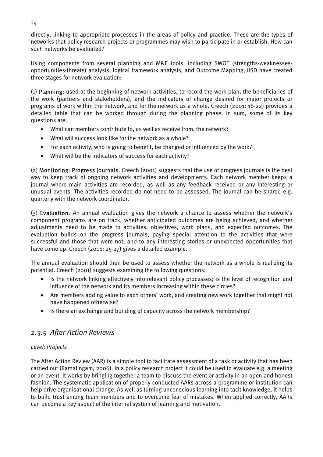directly, linking to appropriate processes in the areas of policy and practice. These are the types of networks that policy research projects or programmes may wish to participate in or establish. How can such networks be evaluated?

Using components from several planning and M&E tools, including SWOT (strengths-weaknessesopportunities-threats) analysis, logical framework analysis, and Outcome Mapping, IISD have created three stages for network evaluation:

(1) Planning: used at the beginning of network activities, to record the work plan, the beneficiaries of the work (partners and stakeholders), and the indicators of change desired for major projects or programs of work within the network, and for the network as a whole. Creech (2001: 16-22) provides a detailed table that can be worked through during the planning phase. In sum, some of its key questions are:

- What can members contribute to, as well as receive from, the network?
- What will success look like for the network as a whole?
- For each activity, who is going to benefit, be changed or influenced by the work?
- What will be the indicators of success for each activity?

(2) Monitoring: Progress journals. Creech (2001) suggests that the use of progress journals is the best way to keep track of ongoing network activities and developments. Each network member keeps a journal where main activities are recorded, as well as any feedback received or any interesting or unusual events. The activities recorded do not need to be assessed. The journal can be shared e.g. quarterly with the network coordinator.

(3) Evaluation: An annual evaluation gives the network a chance to assess whether the network's component programs are on track, whether anticipated outcomes are being achieved, and whether adjustments need to be made to activities, objectives, work plans, and expected outcomes. The evaluation builds on the progress journals, paying special attention to the activities that were successful and those that were not, and to any interesting stories or unexpected opportunities that have come up. Creech (2001: 25-27) gives a detailed example.

The annual evaluation should then be used to assess whether the network as a whole is realizing its potential. Creech (2001) suggests examining the following questions:

- Is the network linking effectively into relevant policy processes; is the level of recognition and influence of the network and its members increasing within these circles?
- Are members adding value to each others' work, and creating new work together that might not have happened otherwise?
- Is there an exchange and building of capacity across the network membership?

## *2.3.5 After Action Reviews*

#### *Level: Projects*

The After Action Review (AAR) is a simple tool to facilitate assessment of a task or activity that has been carried out (Ramalingam, 2006). In a policy research project it could be used to evaluate e.g. a meeting or an event. It works by bringing together a team to discuss the event or activity in an open and honest fashion. The systematic application of properly conducted AARs across a programme or institution can help drive organisational change. As well as turning unconscious learning into tacit knowledge, it helps to build trust among team members and to overcome fear of mistakes. When applied correctly, AARs can become a key aspect of the internal system of learning and motivation.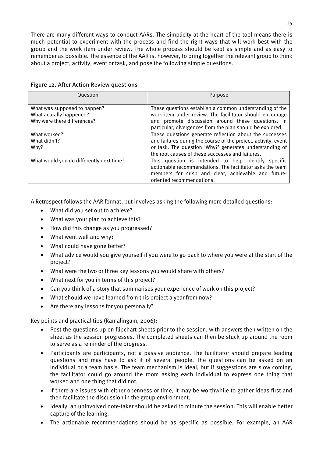There are many different ways to conduct AARs. The simplicity at the heart of the tool means there is much potential to experiment with the process and find the right ways that will work best with the group and the work item under review. The whole process should be kept as simple and as easy to remember as possible. The essence of the AAR is, however, to bring together the relevant group to think about a project, activity, event or task, and pose the following simple questions.

| Question                                                                               | Purpose                                                                                                                                                                                                                                  |
|----------------------------------------------------------------------------------------|------------------------------------------------------------------------------------------------------------------------------------------------------------------------------------------------------------------------------------------|
| What was supposed to happen?<br>What actually happened?<br>Why were there differences? | These questions establish a common understanding of the<br>work item under review. The facilitator should encourage<br>and promote discussion around these questions. In<br>particular, divergences from the plan should be explored.    |
| What worked?<br>What didn't?<br>Why?                                                   | These questions generate reflection about the successes<br>and failures during the course of the project, activity, event<br>or task. The question 'Why?' generates understanding of<br>the root causes of these successes and failures. |
| What would you do differently next time?                                               | This question is intended to help identify specific<br>actionable recommendations. The facilitator asks the team<br>members for crisp and clear, achievable and future-<br>oriented recommendations.                                     |

#### Figure 12. After Action Review questions

A Retrospect follows the AAR format, but involves asking the following more detailed questions:

- What did you set out to achieve?
- What was your plan to achieve this?
- How did this change as you progressed?
- What went well and why?
- What could have gone better?
- What advice would you give yourself if you were to go back to where you were at the start of the project?
- What were the two or three key lessons you would share with others?
- What next for you in terms of this project?
- Can you think of a story that summarises your experience of work on this project?
- What should we have learned from this project a year from now?
- Are there any lessons for you personally?

Key points and practical tips (Ramalingam, 2006):

- Post the questions up on flipchart sheets prior to the session, with answers then written on the sheet as the session progresses. The completed sheets can then be stuck up around the room to serve as a reminder of the progress.
- Participants are participants, not a passive audience. The facilitator should prepare leading questions and may have to ask it of several people. The questions can be asked on an individual or a team basis. The team mechanism is ideal, but if suggestions are slow coming, the facilitator could go around the room asking each individual to express one thing that worked and one thing that did not.
- If there are issues with either openness or time, it may be worthwhile to gather ideas first and then facilitate the discussion in the group environment.
- Ideally, an uninvolved note-taker should be asked to minute the session. This will enable better capture of the learning.
- The actionable recommendations should be as specific as possible. For example, an AAR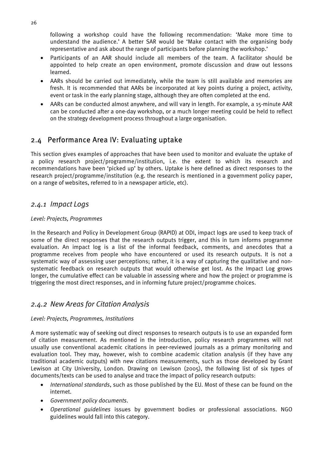following a workshop could have the following recommendation: 'Make more time to understand the audience.' A better SAR would be 'Make contact with the organising body representative and ask about the range of participants before planning the workshop.'

- Participants of an AAR should include all members of the team. A facilitator should be appointed to help create an open environment, promote discussion and draw out lessons learned.
- AARs should be carried out immediately, while the team is still available and memories are fresh. It is recommended that AARs be incorporated at key points during a project, activity, event or task in the early planning stage, although they are often completed at the end.
- AARs can be conducted almost anywhere, and will vary in length. For example, a 15-minute AAR can be conducted after a one-day workshop, or a much longer meeting could be held to reflect on the strategy development process throughout a large organisation.

## 2.4 Performance Area IV: Evaluating uptake

This section gives examples of approaches that have been used to monitor and evaluate the uptake of a policy research project/programme/institution, i.e. the extent to which its research and recommendations have been 'picked up' by others. Uptake is here defined as direct responses to the research project/programme/institution (e.g. the research is mentioned in a government policy paper, on a range of websites, referred to in a newspaper article, etc).

## *2.4.1 Impact Logs*

#### *Level: Projects, Programmes*

In the Research and Policy in Development Group (RAPID) at ODI, impact logs are used to keep track of some of the direct responses that the research outputs trigger, and this in turn informs programme evaluation. An impact log is a list of the informal feedback, comments, and anecdotes that a programme receives from people who have encountered or used its research outputs. It is not a systematic way of assessing user perceptions; rather, it is a way of capturing the qualitative and nonsystematic feedback on research outputs that would otherwise get lost. As the Impact Log grows longer, the cumulative effect can be valuable in assessing where and how the project or programme is triggering the most direct responses, and in informing future project/programme choices.

## *2.4.2 New Areas for Citation Analysis*

#### *Level: Projects, Programmes, Institutions*

A more systematic way of seeking out direct responses to research outputs is to use an expanded form of citation measurement. As mentioned in the introduction, policy research programmes will not usually use conventional academic citations in peer-reviewed journals as a primary monitoring and evaluation tool. They may, however, wish to combine academic citation analysis (if they have any traditional academic outputs) with new citations measurements, such as those developed by Grant Lewison at City University, London. Drawing on Lewison (2005), the following list of six types of documents/texts can be used to analyse and trace the impact of policy research outputs:

- *International standards*, such as those published by the EU. Most of these can be found on the internet.
- *Government policy documents*.
- *Operational guidelines* issues by government bodies or professional associations. NGO guidelines would fall into this category.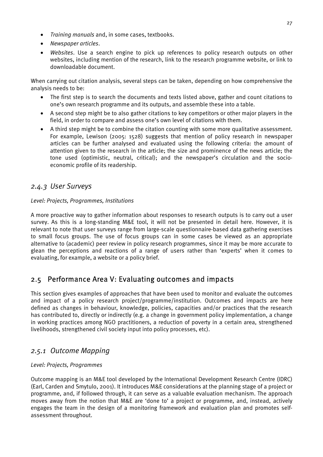- *Training manuals* and, in some cases, textbooks.
- *Newspaper articles*.
- *Websites*. Use a search engine to pick up references to policy research outputs on other websites, including mention of the research, link to the research programme website, or link to downloadable document.

When carrying out citation analysis, several steps can be taken, depending on how comprehensive the analysis needs to be:

- The first step is to search the documents and texts listed above, gather and count citations to one's own research programme and its outputs, and assemble these into a table.
- A second step might be to also gather citations to key competitors or other major players in the field, in order to compare and assess one's own level of citations with them.
- A third step might be to combine the citation counting with some more qualitative assessment. For example, Lewison (2005: 1528) suggests that mention of policy research in newspaper articles can be further analysed and evaluated using the following criteria: the amount of attention given to the research in the article; the size and prominence of the news article; the tone used (optimistic, neutral, critical); and the newspaper's circulation and the socioeconomic profile of its readership.

## *2.4.3 User Surveys*

#### *Level: Projects, Programmes, Institutions*

A more proactive way to gather information about responses to research outputs is to carry out a user survey. As this is a long-standing M&E tool, it will not be presented in detail here. However, it is relevant to note that user surveys range from large-scale questionnaire-based data gathering exercises to small focus groups. The use of focus groups can in some cases be viewed as an appropriate alternative to (academic) peer review in policy research programmes, since it may be more accurate to glean the perceptions and reactions of a range of users rather than 'experts' when it comes to evaluating, for example, a website or a policy brief.

## 2.5 Performance Area V: Evaluating outcomes and impacts

This section gives examples of approaches that have been used to monitor and evaluate the outcomes and impact of a policy research project/programme/institution. Outcomes and impacts are here defined as changes in behaviour, knowledge, policies, capacities and/or practices that the research has contributed to, directly or indirectly (e.g. a change in government policy implementation, a change in working practices among NGO practitioners, a reduction of poverty in a certain area, strengthened livelihoods, strengthened civil society input into policy processes, etc).

## *2.5.1 Outcome Mapping*

#### *Level: Projects, Programmes*

Outcome mapping is an M&E tool developed by the International Development Research Centre (IDRC) (Earl, Carden and Smytulo, 2001). It introduces M&E considerations at the planning stage of a project or programme, and, if followed through, it can serve as a valuable evaluation mechanism. The approach moves away from the notion that M&E are 'done to' a project or programme, and, instead, actively engages the team in the design of a monitoring framework and evaluation plan and promotes selfassessment throughout.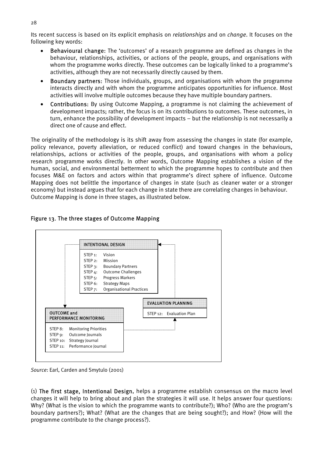Its recent success is based on its explicit emphasis on *relationships* and on *change*. It focuses on the following key words:

- Behavioural change: The 'outcomes' of a research programme are defined as changes in the behaviour, relationships, activities, or actions of the people, groups, and organisations with whom the programme works directly. These outcomes can be logically linked to a programme's activities, although they are not necessarily directly caused by them.
- Boundary partners: Those individuals, groups, and organisations with whom the programme interacts directly and with whom the programme anticipates opportunities for influence. Most activities will involve multiple outcomes because they have multiple boundary partners.
- Contributions: By using Outcome Mapping, a programme is not claiming the achievement of development impacts; rather, the focus is on its contributions to outcomes. These outcomes, in turn, enhance the possibility of development impacts – but the relationship is not necessarily a direct one of cause and effect.

The originality of the methodology is its shift away from assessing the changes in state (for example, policy relevance, poverty alleviation, or reduced conflict) and toward changes in the behaviours, relationships, actions or activities of the people, groups, and organisations with whom a policy research programme works directly. In other words, Outcome Mapping establishes a vision of the human, social, and environmental betterment to which the programme hopes to contribute and then focuses M&E on factors and actors within that programme's direct sphere of influence. Outcome Mapping does not belittle the importance of changes in state (such as cleaner water or a stronger economy) but instead argues that for each change in state there are correlating changes in behaviour. Outcome Mapping is done in three stages, as illustrated below.

#### Figure 13. The three stages of Outcome Mapping



*Source*: Earl, Carden and Smytulo (2001)

(1) The first stage, Intentional Design, helps a programme establish consensus on the macro level changes it will help to bring about and plan the strategies it will use. It helps answer four questions: Why? (What is the vision to which the programme wants to contribute?); Who? (Who are the program's boundary partners?); What? (What are the changes that are being sought?); and How? (How will the programme contribute to the change process?).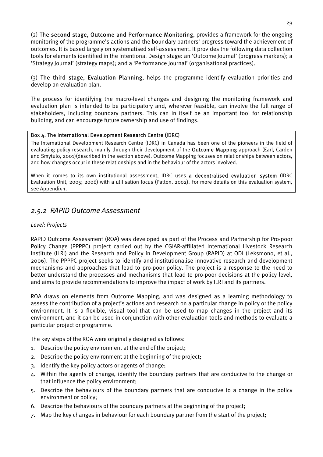(2) The second stage, Outcome and Performance Monitoring, provides a framework for the ongoing monitoring of the programme's actions and the boundary partners' progress toward the achievement of outcomes. It is based largely on systematised self-assessment. It provides the following data collection tools for elements identified in the Intentional Design stage: an 'Outcome Journal' (progress markers); a 'Strategy Journal' (strategy maps); and a 'Performance Journal' (organisational practices).

(3) The third stage, Evaluation Planning, helps the programme identify evaluation priorities and develop an evaluation plan.

The process for identifying the macro-level changes and designing the monitoring framework and evaluation plan is intended to be participatory and, wherever feasible, can involve the full range of stakeholders, including boundary partners. This can in itself be an important tool for relationship building, and can encourage future ownership and use of findings.

#### Box 4. The International Development Research Centre (IDRC)

The International Development Research Centre (IDRC) in Canada has been one of the pioneers in the field of evaluating policy research, mainly through their development of the **Outcome Mapping** approach (Earl, Carden and Smytulo, 2001)(described in the section above). Outcome Mapping focuses on relationships between actors, and how changes occur in these relationships and in the behaviour of the actors involved.

When it comes to its own institutional assessment, IDRC uses a decentralised evaluation system (IDRC Evaluation Unit, 2005; 2006) with a utilisation focus (Patton, 2002). For more details on this evaluation system, see Appendix 1.

## *2.5.2 RAPID Outcome Assessment*

#### *Level: Projects*

RAPID Outcome Assessment (ROA) was developed as part of the Process and Partnership for Pro-poor Policy Change (PPPPC) project carried out by the CGIAR-affiliated International Livestock Research Institute (ILRI) and the Research and Policy in Development Group (RAPID) at ODI (Leksmono, et al., 2006). The PPPPC project seeks to identify and institutionalise innovative research and development mechanisms and approaches that lead to pro-poor policy. The project is a response to the need to better understand the processes and mechanisms that lead to pro-poor decisions at the policy level, and aims to provide recommendations to improve the impact of work by ILRI and its partners.

ROA draws on elements from Outcome Mapping, and was designed as a learning methodology to assess the contribution of a project's actions and research on a particular change in policy or the policy environment. It is a flexible, visual tool that can be used to map changes in the project and its environment, and it can be used in conjunction with other evaluation tools and methods to evaluate a particular project or programme.

The key steps of the ROA were originally designed as follows:

- 1. Describe the policy environment at the end of the project;
- 2. Describe the policy environment at the beginning of the project;
- 3. Identify the key policy actors or agents of change;
- 4. Within the agents of change, identify the boundary partners that are conducive to the change or that influence the policy environment;
- 5. Describe the behaviours of the boundary partners that are conducive to a change in the policy environment or policy;
- 6. Describe the behaviours of the boundary partners at the beginning of the project;
- 7. Map the key changes in behaviour for each boundary partner from the start of the project;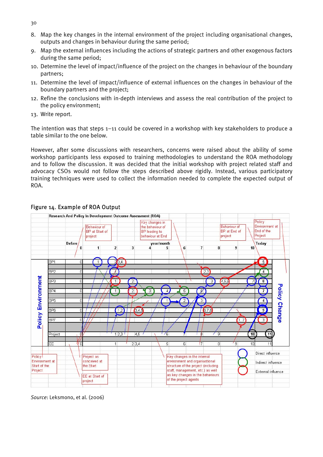- 8. Map the key changes in the internal environment of the project including organisational changes, outputs and changes in behaviour during the same period;
- 9. Map the external influences including the actions of strategic partners and other exogenous factors during the same period;
- 10. Determine the level of impact/influence of the project on the changes in behaviour of the boundary partners;
- 11. Determine the level of impact/influence of external influences on the changes in behaviour of the boundary partners and the project;
- 12. Refine the conclusions with in-depth interviews and assess the real contribution of the project to the policy environment;
- 13. Write report.

The intention was that steps 1–11 could be covered in a workshop with key stakeholders to produce a table similar to the one below.

However, after some discussions with researchers, concerns were raised about the ability of some workshop participants less exposed to training methodologies to understand the ROA methodology and to follow the discussion. It was decided that the initial workshop with project related staff and advocacy CSOs would not follow the steps described above rigidly. Instead, various participatory training techniques were used to collect the information needed to complete the expected output of ROA.



## Figure 14. Example of ROA Output

*Source*: Leksmono, et al. (2006)

30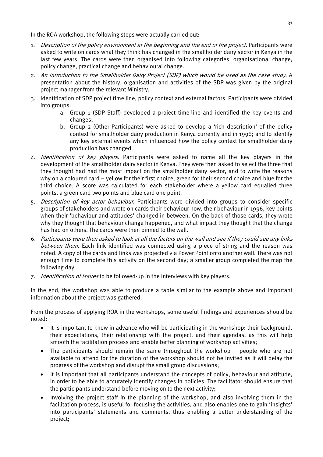In the ROA workshop, the following steps were actually carried out:

- 1. Description of the policy environment at the beginning and the end of the project. Participants were asked to write on cards what they think has changed in the smallholder dairy sector in Kenya in the last few years. The cards were then organised into following categories: organisational change, policy change, practical change and behavioural change.
- 2. An introduction to the Smallholder Dairy Project (SDP) which would be used as the case study. A presentation about the history, organisation and activities of the SDP was given by the original project manager from the relevant Ministry.
- 3. Identification of SDP project time line, policy context and external factors. Participants were divided into groups:
	- a. Group 1 (SDP Staff) developed a project time-line and identified the key events and changes;
	- b. Group 2 (Other Participants) were asked to develop a 'rich description' of the policy context for smallholder dairy production in Kenya currently and in 1996; and to identify any key external events which influenced how the policy context for smallholder dairy production has changed.
- 4. Identification of key players. Participants were asked to name all the key players in the development of the smallholder dairy sector in Kenya. They were then asked to select the three that they thought had had the most impact on the smallholder dairy sector, and to write the reasons why on a coloured card – yellow for their first choice, green for their second choice and blue for the third choice. A score was calculated for each stakeholder where a yellow card equalled three points, a green card two points and blue card one point.
- 5. Description of key actor behaviour. Participants were divided into groups to consider specific groups of stakeholders and wrote on cards their behaviour now, their behaviour in 1996, key points when their 'behaviour and attitudes' changed in between. On the back of those cards, they wrote why they thought that behaviour change happened, and what impact they thought that the change has had on others. The cards were then pinned to the wall.
- 6. Participants were then asked to look at all the factors on the wall and see if they could see any links between them. Each link identified was connected using a piece of string and the reason was noted. A copy of the cards and links was projected via Power Point onto another wall. There was not enough time to complete this activity on the second day; a smaller group completed the map the following day.
- 7. *Identification of issues* to be followed-up in the interviews with key players.

In the end, the workshop was able to produce a table similar to the example above and important information about the project was gathered.

From the process of applying ROA in the workshops, some useful findings and experiences should be noted:

- It is important to know in advance who will be participating in the workshop: their background, their expectations, their relationship with the project, and their agendas, as this will help smooth the facilitation process and enable better planning of workshop activities;
- The participants should remain the same throughout the workshop people who are not available to attend for the duration of the workshop should not be invited as it will delay the progress of the workshop and disrupt the small group discussions;
- It is important that all participants understand the concepts of policy, behaviour and attitude, in order to be able to accurately identify changes in policies. The facilitator should ensure that the participants understand before moving on to the next activity;
- Involving the project staff in the planning of the workshop, and also involving them in the facilitation process, is useful for focusing the activities, and also enables one to gain 'insights' into participants' statements and comments, thus enabling a better understanding of the project;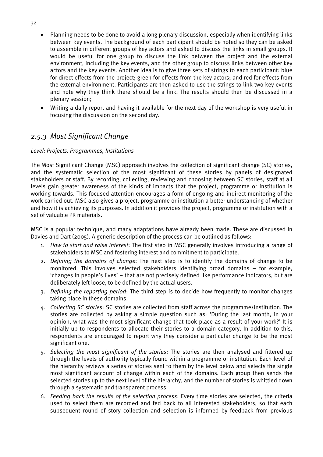- Planning needs to be done to avoid a long plenary discussion, especially when identifying links between key events. The background of each participant should be noted so they can be asked to assemble in different groups of key actors and asked to discuss the links in small groups. It would be useful for one group to discuss the link between the project and the external environment, including the key events, and the other group to discuss links between other key actors and the key events. Another idea is to give three sets of strings to each participant: blue for direct effects from the project; green for effects from the key actors; and red for effects from the external environment. Participants are then asked to use the strings to link two key events and note why they think there should be a link. The results should then be discussed in a plenary session;
- Writing a daily report and having it available for the next day of the workshop is very useful in focusing the discussion on the second day.

## *2.5.3 Most Significant Change*

#### *Level: Projects, Programmes, Institutions*

The Most Significant Change (MSC) approach involves the collection of significant change (SC) stories, and the systematic selection of the most significant of these stories by panels of designated stakeholders or staff. By recording, collecting, reviewing and choosing between SC stories, staff at all levels gain greater awareness of the kinds of impacts that the project, programme or institution is working towards. This focused attention encourages a form of ongoing and indirect monitoring of the work carried out. MSC also gives a project, programme or institution a better understanding of whether and how it is achieving its purposes. In addition it provides the project, programme or institution with a set of valuable PR materials.

MSC is a popular technique, and many adaptations have already been made. These are discussed in Davies and Dart (2005). A generic description of the process can be outlined as follows:

- 1. *How to start and raise interest*: The first step in MSC generally involves introducing a range of stakeholders to MSC and fostering interest and commitment to participate.
- 2. *Defining the domains of change*: The next step is to identify the domains of change to be monitored. This involves selected stakeholders identifying broad domains – for example, 'changes in people's lives' – that are not precisely defined like performance indicators, but are deliberately left loose, to be defined by the actual users.
- 3. *Defining the reporting period*: The third step is to decide how frequently to monitor changes taking place in these domains.
- 4. *Collecting SC stories*: SC stories are collected from staff across the programme/institution. The stories are collected by asking a simple question such as: 'During the last month, in your opinion, what was the most significant change that took place as a result of your work?' It is initially up to respondents to allocate their stories to a domain category. In addition to this, respondents are encouraged to report why they consider a particular change to be the most significant one.
- 5. *Selecting the most significant of the stories*: The stories are then analysed and filtered up through the levels of authority typically found within a programme or institution. Each level of the hierarchy reviews a series of stories sent to them by the level below and selects the single most significant account of change within each of the domains. Each group then sends the selected stories up to the next level of the hierarchy, and the number of stories is whittled down through a systematic and transparent process.
- 6. *Feeding back the results of the selection process*: Every time stories are selected, the criteria used to select them are recorded and fed back to all interested stakeholders, so that each subsequent round of story collection and selection is informed by feedback from previous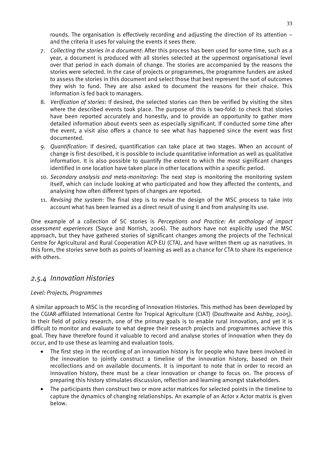rounds. The organisation is effectively recording and adjusting the direction of its attention – and the criteria it uses for valuing the events it sees there.

- 7. *Collecting the stories in a document*: After this process has been used for some time, such as a year, a document is produced with all stories selected at the uppermost organisational level over that period in each domain of change. The stories are accompanied by the reasons the stories were selected. In the case of projects or programmes, the programme funders are asked to assess the stories in this document and select those that best represent the sort of outcomes they wish to fund. They are also asked to document the reasons for their choice. This information is fed back to managers.
- 8. *Verification of stories*: If desired, the selected stories can then be verified by visiting the sites where the described events took place. The purpose of this is two-fold: to check that stories have been reported accurately and honestly, and to provide an opportunity to gather more detailed information about events seen as especially significant. If conducted some time after the event, a visit also offers a chance to see what has happened since the event was first documented.
- 9. *Quantification*: If desired, quantification can take place at two stages. When an account of change is first described, it is possible to include quantitative information as well as qualitative information. It is also possible to quantify the extent to which the most significant changes identified in one location have taken place in other locations within a specific period.
- 10. *Secondary analysis and meta-monitoring*: The next step is monitoring the monitoring system itself, which can include looking at who participated and how they affected the contents, and analysing how often different types of changes are reported.
- 11. *Revising the system*: The final step is to revise the design of the MSC process to take into account what has been learned as a direct result of using it and from analysing its use.

One example of a collection of SC stories is *Perceptions and Practice: An anthology of impact assessment experiences* (Sayce and Norrish, 2006). The authors have not explicitly used the MSC approach, but they have gathered stories of significant changes among the projects of the Technical Centre for Agricultural and Rural Cooperation ACP-EU (CTA), and have written them up as narratives. In this form, the stories serve both as points of learning as well as a chance for CTA to share its experience with others.

## *2.5.4 Innovation Histories*

#### *Level: Projects, Programmes*

A similar approach to MSC is the recording of Innovation Histories. This method has been developed by the CGIAR-affiliated International Centre for Tropical Agriculture (CIAT) (Douthwaite and Ashby, 2005). In their field of policy research, one of the primary goals is to enable rural innovation, and yet it is difficult to monitor and evaluate to what degree their research projects and programmes achieve this goal. They have therefore found it valuable to record and analyse stories of innovation when they do occur, and to use these as learning and evaluation tools.

- The first step in the recording of an innovation history is for people who have been involved in the innovation to jointly construct a timeline of the innovation history, based on their recollections and on available documents. It is important to note that in order to record an innovation history, there must be a clear innovation or change to focus on. The process of preparing this history stimulates discussion, reflection and learning amongst stakeholders.
- The participants then construct two or more actor matrices for selected points in the timeline to capture the dynamics of changing relationships. An example of an Actor x Actor matrix is given below.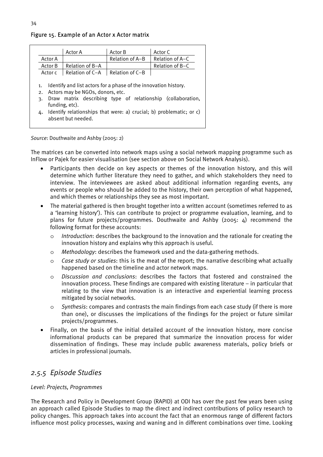#### Actor A Actor B Actor C Actor A | Relation of A–B | Relation of A–C Actor B Relation of B-A Relation of B-C Actor c  $\vert$  Relation of C–A  $\vert$  Relation of C–B 1. Identify and list actors for a phase of the innovation history. 2. Actors may be NGOs, donors, etc. 3. Draw matrix describing type of relationship (collaboration, funding, etc). 4. Identify relationships that were: a) crucial; b) problematic; or c)

#### Figure 15. Example of an Actor x Actor matrix

*Source*: Douthwaite and Ashby (2005: 2)

absent but needed.

The matrices can be converted into network maps using a social network mapping programme such as InFlow or Pajek for easier visualisation (see section above on Social Network Analysis).

- Participants then decide on key aspects or themes of the innovation history, and this will determine which further literature they need to gather, and which stakeholders they need to interview. The interviewees are asked about additional information regarding events, any events or people who should be added to the history, their own perception of what happened, and which themes or relationships they see as most important.
- The material gathered is then brought together into a written account (sometimes referred to as a 'learning history'). This can contribute to project or programme evaluation, learning, and to plans for future projects/programmes. Douthwaite and Ashby (2005: 4) recommend the following format for these accounts:
	- o *Introduction*: describes the background to the innovation and the rationale for creating the innovation history and explains why this approach is useful.
	- o *Methodology*: describes the framework used and the data-gathering methods.
	- o *Case study or studies*: this is the meat of the report; the narrative describing what actually happened based on the timeline and actor network maps.
	- o *Discussion and conclusions*: describes the factors that fostered and constrained the innovation process. These findings are compared with existing literature – in particular that relating to the view that innovation is an interactive and experiential learning process mitigated by social networks.
	- o *Synthesis*: compares and contrasts the main findings from each case study (if there is more than one), or discusses the implications of the findings for the project or future similar projects/programmes.
- Finally, on the basis of the initial detailed account of the innovation history, more concise informational products can be prepared that summarize the innovation process for wider dissemination of findings. These may include public awareness materials, policy briefs or articles in professional journals.

## *2.5.5 Episode Studies*

#### *Level: Projects, Programmes*

The Research and Policy in Development Group (RAPID) at ODI has over the past few years been using an approach called Episode Studies to map the direct and indirect contributions of policy research to policy changes. This approach takes into account the fact that an enormous range of different factors influence most policy processes, waxing and waning and in different combinations over time. Looking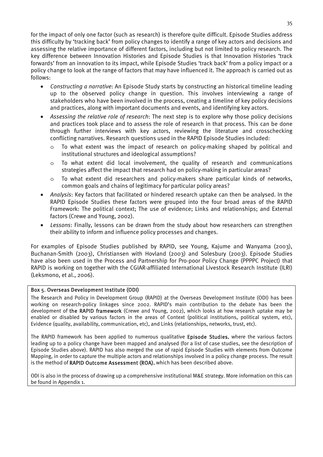for the impact of only one factor (such as research) is therefore quite difficult. Episode Studies address this difficulty by 'tracking back' from policy changes to identify a range of key actors and decisions and assessing the relative importance of different factors, including but not limited to policy research. The key difference between Innovation Histories and Episode Studies is that Innovation Histories 'track forwards' from an innovation to its impact, while Episode Studies 'track back' from a policy impact or a policy change to look at the range of factors that may have influenced it. The approach is carried out as follows:

- *Constructing a narrative*: An Episode Study starts by constructing an historical timeline leading up to the observed policy change in question. This involves interviewing a range of stakeholders who have been involved in the process, creating a timeline of key policy decisions and practices, along with important documents and events, and identifying key actors.
- *Assessing the relative role of research*: The next step is to explore why those policy decisions and practices took place and to assess the role of research in that process. This can be done through further interviews with key actors, reviewing the literature and crosschecking conflicting narratives. Research questions used in the RAPID Episode Studies included:
	- o To what extent was the impact of research on policy-making shaped by political and institutional structures and ideological assumptions?
	- o To what extent did local involvement, the quality of research and communications strategies affect the impact that research had on policy-making in particular areas?
	- o To what extent did researchers and policy-makers share particular kinds of networks, common goals and chains of legitimacy for particular policy areas?
- *Analysis*: Key factors that facilitated or hindered research uptake can then be analysed. In the RAPID Episode Studies these factors were grouped into the four broad areas of the RAPID Framework: The political context; The use of evidence; Links and relationships; and External factors (Crewe and Young, 2002).
- *Lessons*: Finally, lessons can be drawn from the study about how researchers can strengthen their ability to inform and influence policy processes and changes.

For examples of Episode Studies published by RAPID, see Young, Kajume and Wanyama (2003), Buchanan-Smith (2003), Christiansen with Hovland (2003) and Solesbury (2003). Episode Studies have also been used in the Process and Partnership for Pro-poor Policy Change (PPPPC Project) that RAPID is working on together with the CGIAR-affiliated International Livestock Research Institute (ILRI) (Leksmono, et al., 2006).

#### Box 5. Overseas Development Institute (ODI)

The Research and Policy in Development Group (RAPID) at the Overseas Development Institute (ODI) has been working on research-policy linkages since 2002. RAPID's main contribution to the debate has been the development of the RAPID framework (Crewe and Young, 2002), which looks at how research uptake may be enabled or disabled by various factors in the areas of Context (political institutions, political system, etc), Evidence (quality, availability, communication, etc), and Links (relationships, networks, trust, etc).

The RAPID framework has been applied to numerous qualitative Episode Studies, where the various factors leading up to a policy change have been mapped and analysed (for a list of case studies, see the description of Episode Studies above). RAPID has also merged the use of rapid Episode Studies with elements from Outcome Mapping, in order to capture the multiple actors and relationships involved in a policy change process. The result is the method of RAPID Outcome Assessment (ROA), which has been described above.

ODI is also in the process of drawing up a comprehensive institutional M&E strategy. More information on this can be found in Appendix 1.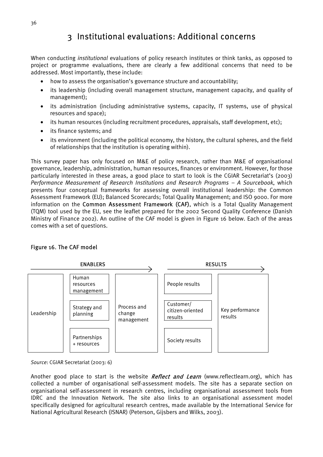# 3 Institutional evaluations: Additional concerns

When conducting *institutional* evaluations of policy research institutes or think tanks, as opposed to project or programme evaluations, there are clearly a few additional concerns that need to be addressed. Most importantly, these include:

- how to assess the organisation's governance structure and accountability;
- its leadership (including overall management structure, management capacity, and quality of management);
- its administration (including administrative systems, capacity, IT systems, use of physical resources and space);
- its human resources (including recruitment procedures, appraisals, staff development, etc);
- its finance systems; and
- its environment (including the political economy, the history, the cultural spheres, and the field of relationships that the institution is operating within).

This survey paper has only focused on M&E of policy research, rather than M&E of organisational governance, leadership, administration, human resources, finances or environment. However, for those particularly interested in these areas, a good place to start to look is the CGIAR Secretariat's (2003) *Performance Measurement of Research Institutions and Research Programs – A Sourcebook*, which presents four conceptual frameworks for assessing overall institutional leadership: the Common Assessment Framework (EU); Balanced Scorecards; Total Quality Management; and ISO 9000. For more information on the Common Assessment Framework (CAF), which is a Total Quality Management (TQM) tool used by the EU, see the leaflet prepared for the 2002 Second Quality Conference (Danish Ministry of Finance 2002). An outline of the CAF model is given in Figure 16 below. Each of the areas comes with a set of questions.

#### Figure 16. The CAF model



*Source*: CGIAR Secretariat (2003: 6)

Another good place to start is the website *Reflect and Learn* (www.reflectlearn.org), which has collected a number of organisational self-assessment models. The site has a separate section on organisational self-assessment in research centres, including organisational assessment tools from IDRC and the Innovation Network. The site also links to an organisational assessment model specifically designed for agricultural research centres, made available by the International Service for National Agricultural Research (ISNAR) (Peterson, Gijsbers and Wilks, 2003).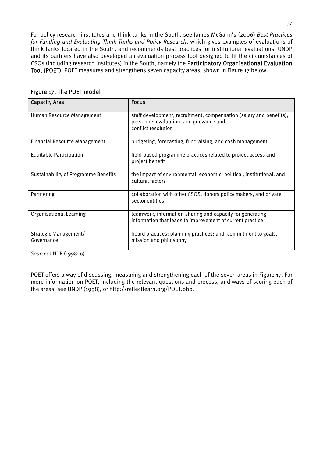For policy research institutes and think tanks in the South, see James McGann's (2006) *Best Practices for Funding and Evaluating Think Tanks and Policy Research*, which gives examples of evaluations of think tanks located in the South, and recommends best practices for institutional evaluations. UNDP and its partners have also developed an evaluation process tool designed to fit the circumstances of CSOs (including research institutes) in the South, namely the Participatory Organisational Evaluation Tool (POET). POET measures and strengthens seven capacity areas, shown in Figure 17 below.

| <b>Capacity Area</b>                 | <b>Focus</b>                                                                                                                          |
|--------------------------------------|---------------------------------------------------------------------------------------------------------------------------------------|
| Human Resource Management            | staff development, recruitment, compensation (salary and benefits),<br>personnel evaluation, and grievance and<br>conflict resolution |
| <b>Financial Resource Management</b> | budgeting, forecasting, fundraising, and cash management                                                                              |
| <b>Equitable Participation</b>       | field-based programme practices related to project access and<br>project benefit                                                      |
| Sustainability of Programme Benefits | the impact of environmental, economic, political, institutional, and<br>cultural factors                                              |
| Partnering                           | collaboration with other CSOS, donors policy makers, and private<br>sector entities                                                   |
| Organisational Learning              | teamwork, information-sharing and capacity for generating<br>information that leads to improvement of current practice                |
| Strategic Management/<br>Governance  | board practices; planning practices; and, commitment to goals,<br>mission and philosophy                                              |

#### Figure 17. The POET model

*Source*: UNDP (1998: 6)

POET offers a way of discussing, measuring and strengthening each of the seven areas in Figure 17. For more information on POET, including the relevant questions and process, and ways of scoring each of the areas, see UNDP (1998), or http://reflectlearn.org/POET.php.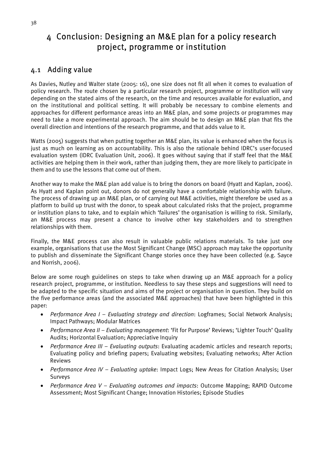# 4 Conclusion: Designing an M&E plan for a policy research project, programme or institution

## 4.1 Adding value

As Davies, Nutley and Walter state (2005: 16), one size does not fit all when it comes to evaluation of policy research. The route chosen by a particular research project, programme or institution will vary depending on the stated aims of the research, on the time and resources available for evaluation, and on the institutional and political setting. It will probably be necessary to combine elements and approaches for different performance areas into an M&E plan, and some projects or programmes may need to take a more experimental approach. The aim should be to design an M&E plan that fits the overall direction and intentions of the research programme, and that adds value to it.

Watts (2005) suggests that when putting together an M&E plan, its value is enhanced when the focus is just as much on learning as on accountability. This is also the rationale behind IDRC's user-focused evaluation system (IDRC Evaluation Unit, 2006). It goes without saying that if staff feel that the M&E activities are helping them in their work, rather than judging them, they are more likely to participate in them and to use the lessons that come out of them.

Another way to make the M&E plan add value is to bring the donors on board (Hyatt and Kaplan, 2006). As Hyatt and Kaplan point out, donors do not generally have a comfortable relationship with failure. The process of drawing up an M&E plan, or of carrying out M&E activities, might therefore be used as a platform to build up trust with the donor, to speak about calculated risks that the project, programme or institution plans to take, and to explain which 'failures' the organisation is willing to risk. Similarly, an M&E process may present a chance to involve other key stakeholders and to strengthen relationships with them.

Finally, the M&E process can also result in valuable public relations materials. To take just one example, organisations that use the Most Significant Change (MSC) approach may take the opportunity to publish and disseminate the Significant Change stories once they have been collected (e.g. Sayce and Norrish, 2006).

Below are some rough guidelines on steps to take when drawing up an M&E approach for a policy research project, programme, or institution. Needless to say these steps and suggestions will need to be adapted to the specific situation and aims of the project or organisation in question. They build on the five performance areas (and the associated M&E approaches) that have been highlighted in this paper:

- *Performance Area I Evaluating strategy and direction*: Logframes; Social Network Analysis; Impact Pathways; Modular Matrices
- *Performance Area II Evaluating management*: 'Fit for Purpose' Reviews; 'Lighter Touch' Quality Audits; Horizontal Evaluation; Appreciative Inquiry
- *Performance Area III Evaluating outputs*: Evaluating academic articles and research reports; Evaluating policy and briefing papers; Evaluating websites; Evaluating networks; After Action Reviews
- *Performance Area IV Evaluating uptake*: Impact Logs; New Areas for Citation Analysis; User Surveys
- *Performance Area V Evaluating outcomes and impacts*: Outcome Mapping; RAPID Outcome Assessment; Most Significant Change; Innovation Histories; Episode Studies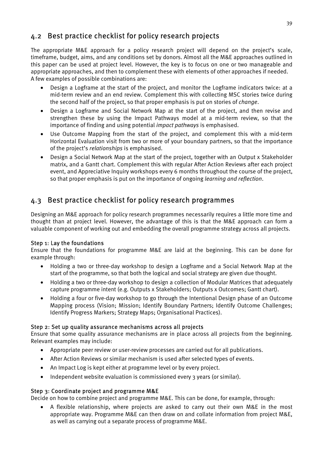## 4.2 Best practice checklist for policy research projects

The appropriate M&E approach for a policy research project will depend on the project's scale, timeframe, budget, aims, and any conditions set by donors. Almost all the M&E approaches outlined in this paper can be used at project level. However, the key is to focus on one or two manageable and appropriate approaches, and then to complement these with elements of other approaches if needed. A few examples of possible combinations are:

- Design a Logframe at the start of the project, and monitor the Logframe indicators twice: at a mid-term review and an end review. Complement this with collecting MSC stories twice during the second half of the project, so that proper emphasis is put on stories of *change*.
- Design a Logframe and Social Network Map at the start of the project, and then revise and strengthen these by using the Impact Pathways model at a mid-term review, so that the importance of finding and using potential *impact pathways* is emphasised.
- Use Outcome Mapping from the start of the project, and complement this with a mid-term Horizontal Evaluation visit from two or more of your boundary partners, so that the importance of the project's *relationships* is emphasised.
- Design a Social Network Map at the start of the project, together with an Output x Stakeholder matrix, and a Gantt chart. Complement this with regular After Action Reviews after each project event, and Appreciative Inquiry workshops every 6 months throughout the course of the project, so that proper emphasis is put on the importance of ongoing *learning and reflection*.

## 4.3 Best practice checklist for policy research programmes

Designing an M&E approach for policy research programmes necessarily requires a little more time and thought than at project level. However, the advantage of this is that the M&E approach can form a valuable component of working out and embedding the overall programme strategy across all projects.

#### Step 1: Lay the foundations

Ensure that the foundations for programme M&E are laid at the beginning. This can be done for example through:

- Holding a two or three-day workshop to design a Logframe and a Social Network Map at the start of the programme, so that both the logical and social strategy are given due thought.
- Holding a two or three-day workshop to design a collection of Modular Matrices that adequately capture programme intent (e.g. Outputs x Stakeholders; Outputs x Outcomes; Gantt chart).
- Holding a four or five-day workshop to go through the Intentional Design phase of an Outcome Mapping process (Vision; Mission; Identify Boundary Partners; Identify Outcome Challenges; Identify Progress Markers; Strategy Maps; Organisational Practices).

#### Step 2: Set up quality assurance mechanisms across all projects

Ensure that some quality assurance mechanisms are in place across all projects from the beginning. Relevant examples may include:

- Appropriate peer review or user-review processes are carried out for all publications.
- After Action Reviews or similar mechanism is used after selected types of events.
- An Impact Log is kept either at programme level or by every project.
- Independent website evaluation is commissioned every 3 years (or similar).

#### Step 3: Coordinate project and programme M&E

Decide on how to combine project and programme M&E. This can be done, for example, through:

• A flexible relationship, where projects are asked to carry out their own M&E in the most appropriate way. Programme M&E can then draw on and collate information from project M&E, as well as carrying out a separate process of programme M&E.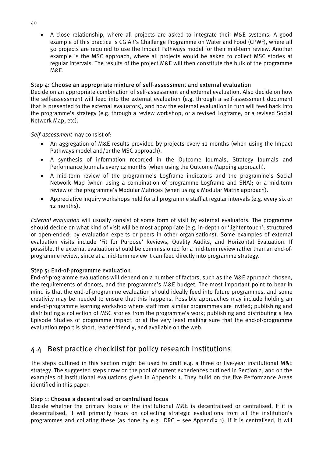• A close relationship, where all projects are asked to integrate their M&E systems. A good example of this practice is CGIAR's Challenge Programme on Water and Food (CPWF), where all 50 projects are required to use the Impact Pathways model for their mid-term review. Another example is the MSC approach, where all projects would be asked to collect MSC stories at regular intervals. The results of the project M&E will then constitute the bulk of the programme M&E.

#### Step 4: Choose an appropriate mixture of self-assessment and external evaluation

Decide on an appropriate combination of self-assessment and external evaluation. Also decide on how the self-assessment will feed into the external evaluation (e.g. through a self-assessment document that is presented to the external evaluators), and how the external evaluation in turn will feed back into the programme's strategy (e.g. through a review workshop, or a revised Logframe, or a revised Social Network Map, etc).

*Self-assessment* may consist of:

- An aggregation of M&E results provided by projects every 12 months (when using the Impact Pathways model and/or the MSC approach).
- A synthesis of information recorded in the Outcome Journals, Strategy Journals and Performance Journals every 12 months (when using the Outcome Mapping approach).
- A mid-term review of the programme's Logframe indicators and the programme's Social Network Map (when using a combination of programme Logframe and SNA); or a mid-term review of the programme's Modular Matrices (when using a Modular Matrix approach).
- Appreciative Inquiry workshops held for all programme staff at regular intervals (e.g. every six or 12 months).

*External evaluation* will usually consist of some form of visit by external evaluators. The programme should decide on what kind of visit will be most appropriate (e.g. in-depth or 'lighter touch'; structured or open-ended; by evaluation experts or peers in other organisations). Some examples of external evaluation visits include 'Fit for Purpose' Reviews, Quality Audits, and Horizontal Evaluation. If possible, the external evaluation should be commissioned for a mid-term review rather than an end-ofprogramme review, since at a mid-term review it can feed directly into programme strategy.

#### Step 5: End-of-programme evaluation

End-of-programme evaluations will depend on a number of factors, such as the M&E approach chosen, the requirements of donors, and the programme's M&E budget. The most important point to bear in mind is that the end-of-programme evaluation should ideally feed into future programmes, and some creativity may be needed to ensure that this happens. Possible approaches may include holding an end-of-programme learning workshop where staff from similar programmes are invited; publishing and distributing a collection of MSC stories from the programme's work; publishing and distributing a few Episode Studies of programme impact; or at the very least making sure that the end-of-programme evaluation report is short, reader-friendly, and available on the web.

## 4.4 Best practice checklist for policy research institutions

The steps outlined in this section might be used to draft e.g. a three or five-year institutional M&E strategy. The suggested steps draw on the pool of current experiences outlined in Section 2, and on the examples of institutional evaluations given in Appendix 1. They build on the five Performance Areas identified in this paper.

#### Step 1: Choose a decentralised or centralised focus

Decide whether the primary focus of the institutional M&E is decentralised or centralised. If it is decentralised, it will primarily focus on collecting strategic evaluations from all the institution's programmes and collating these (as done by e.g. IDRC – see Appendix 1). If it is centralised, it will

40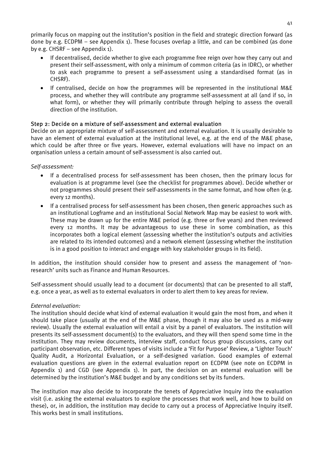primarily focus on mapping out the institution's position in the field and strategic direction forward (as done by e.g. ECDPM – see Appendix 1). These focuses overlap a little, and can be combined (as done by e.g. CHSRF – see Appendix 1).

- If decentralised, decide whether to give each programme free reign over how they carry out and present their self-assessment, with only a minimum of common criteria (as in IDRC), or whether to ask each programme to present a self-assessment using a standardised format (as in CHSRF).
- If centralised, decide on how the programmes will be represented in the institutional M&E process, and whether they will contribute any programme self-assessment at all (and if so, in what form), or whether they will primarily contribute through helping to assess the overall direction of the institution.

#### Step 2: Decide on a mixture of self-assessment and external evaluation

Decide on an appropriate mixture of self-assessment and external evaluation. It is usually desirable to have an element of external evaluation at the institutional level, e.g. at the end of the M&E phase, which could be after three or five years. However, external evaluations will have no impact on an organisation unless a certain amount of self-assessment is also carried out.

#### *Self-assessment:*

- If a decentralised process for self-assessment has been chosen, then the primary locus for evaluation is at programme level (see the checklist for programmes above). Decide whether or not programmes should present their self-assessments in the same format, and how often (e.g. every 12 months).
- If a centralised process for self-assessment has been chosen, then generic approaches such as an institutional Logframe and an institutional Social Network Map may be easiest to work with. These may be drawn up for the entire M&E period (e.g. three or five years) and then reviewed every 12 months. It may be advantageous to use these in some combination, as this incorporates both a logical element (assessing whether the institution's outputs and activities are related to its intended outcomes) and a network element (assessing whether the institution is in a good position to interact and engage with key stakeholder groups in its field).

In addition, the institution should consider how to present and assess the management of 'nonresearch' units such as Finance and Human Resources.

Self-assessment should usually lead to a document (or documents) that can be presented to all staff, e.g. once a year, as well as to external evaluators in order to alert them to key areas for review.

#### *External evaluation:*

The institution should decide what kind of external evaluation it would gain the most from, and when it should take place (usually at the end of the M&E phase, though it may also be used as a mid-way review). Usually the external evaluation will entail a visit by a panel of evaluators. The institution will presents its self-assessment document(s) to the evaluators, and they will then spend some time in the institution. They may review documents, interview staff, conduct focus group discussions, carry out participant observation, etc. Different types of visits include a 'Fit for Purpose' Review, a 'Lighter Touch' Quality Audit, a Horizontal Evaluation, or a self-designed variation. Good examples of external evaluation questions are given in the external evaluation report on ECDPM (see note on ECDPM in Appendix 1) and CGD (see Appendix 1). In part, the decision on an external evaluation will be determined by the institution's M&E budget and by any conditions set by its funders.

The institution may also decide to incorporate the tenets of Appreciative Inquiry into the evaluation visit (i.e. asking the external evaluators to explore the processes that work well, and how to build on these), or, in addition, the institution may decide to carry out a process of Appreciative Inquiry itself. This works best in small institutions.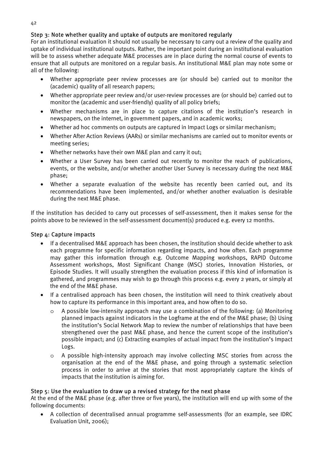#### Step 3: Note whether quality and uptake of outputs are monitored regularly

For an institutional evaluation it should not usually be necessary to carry out a review of the quality and uptake of individual institutional outputs. Rather, the important point during an institutional evaluation will be to assess whether adequate M&E processes are in place during the normal course of events to ensure that all outputs are monitored on a regular basis. An institutional M&E plan may note some or all of the following:

- Whether appropriate peer review processes are (or should be) carried out to monitor the (academic) quality of all research papers;
- Whether appropriate peer review and/or user-review processes are (or should be) carried out to monitor the (academic and user-friendly) quality of all policy briefs;
- Whether mechanisms are in place to capture citations of the institution's research in newspapers, on the internet, in government papers, and in academic works;
- Whether ad hoc comments on outputs are captured in Impact Logs or similar mechanism;
- Whether After Action Reviews (AARs) or similar mechanisms are carried out to monitor events or meeting series;
- Whether networks have their own M&E plan and carry it out;
- Whether a User Survey has been carried out recently to monitor the reach of publications, events, or the website, and/or whether another User Survey is necessary during the next M&E phase;
- Whether a separate evaluation of the website has recently been carried out, and its recommendations have been implemented, and/or whether another evaluation is desirable during the next M&E phase.

If the institution has decided to carry out processes of self-assessment, then it makes sense for the points above to be reviewed in the self-assessment document(s) produced e.g. every 12 months.

#### Step 4: Capture impacts

- If a decentralised M&E approach has been chosen, the institution should decide whether to ask each programme for specific information regarding impacts, and how often. Each programme may gather this information through e.g. Outcome Mapping workshops, RAPID Outcome Assessment workshops, Most Significant Change (MSC) stories, Innovation Histories, or Episode Studies. It will usually strengthen the evaluation process if this kind of information is gathered, and programmes may wish to go through this process e.g. every 2 years, or simply at the end of the M&E phase.
- If a centralised approach has been chosen, the institution will need to think creatively about how to capture its performance in this important area, and how often to do so.
	- $\circ$  A possible low-intensity approach may use a combination of the following: (a) Monitoring planned impacts against indicators in the Logframe at the end of the M&E phase; (b) Using the institution's Social Network Map to review the number of relationships that have been strengthened over the past M&E phase, and hence the current scope of the institution's possible impact; and (c) Extracting examples of actual impact from the institution's Impact Logs.
	- o A possible high-intensity approach may involve collecting MSC stories from across the organisation at the end of the M&E phase, and going through a systematic selection process in order to arrive at the stories that most appropriately capture the kinds of impacts that the institution is aiming for.

#### Step 5: Use the evaluation to draw up a revised strategy for the next phase

At the end of the M&E phase (e.g. after three or five years), the institution will end up with some of the following documents:

• A collection of decentralised annual programme self-assessments (for an example, see IDRC Evaluation Unit, 2006);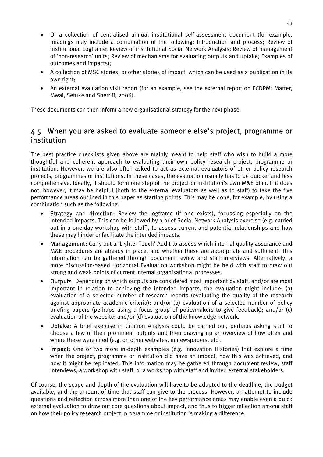- Or a collection of centralised annual institutional self-assessment document (for example, headings may include a combination of the following: Introduction and process; Review of institutional Logframe; Review of institutional Social Network Analysis; Review of management of 'non-research' units; Review of mechanisms for evaluating outputs and uptake; Examples of outcomes and impacts);
- A collection of MSC stories, or other stories of impact, which can be used as a publication in its own right;
- An external evaluation visit report (for an example, see the external report on ECDPM: Matter, Mwai, Sefuke and Sherriff, 2006).

These documents can then inform a new organisational strategy for the next phase.

## 4.5 When you are asked to evaluate someone else's project, programme or institution

The best practice checklists given above are mainly meant to help staff who wish to build a more thoughtful and coherent approach to evaluating their own policy research project, programme or institution. However, we are also often asked to act as external evaluators of other policy research projects, programmes or institutions. In these cases, the evaluation usually has to be quicker and less comprehensive. Ideally, it should form one step of the project or institution's own M&E plan. If it does not, however, it may be helpful (both to the external evaluators as well as to staff) to take the five performance areas outlined in this paper as starting points. This may be done, for example, by using a combination such as the following:

- Strategy and direction: Review the logframe (if one exists), focussing especially on the intended impacts. This can be followed by a brief Social Network Analysis exercise (e.g. carried out in a one-day workshop with staff), to assess current and potential relationships and how these may hinder or facilitate the intended impacts.
- Management: Carry out a 'Lighter Touch' Audit to assess which internal quality assurance and M&E procedures are already in place, and whether these are appropriate and sufficient. This information can be gathered through document review and staff interviews. Alternatively, a more discussion-based Horizontal Evaluation workshop might be held with staff to draw out strong and weak points of current internal organisational processes.
- Outputs: Depending on which outputs are considered most important by staff, and/or are most important in relation to achieving the intended impacts, the evaluation might include: (a) evaluation of a selected number of research reports (evaluating the quality of the research against appropriate academic criteria); and/or (b) evaluation of a selected number of policy briefing papers (perhaps using a focus group of policymakers to give feedback); and/or (c) evaluation of the website; and/or (d) evaluation of the knowledge network.
- Uptake: A brief exercise in Citation Analysis could be carried out, perhaps asking staff to choose a few of their prominent outputs and then drawing up an overview of how often and where these were cited (e.g. on other websites, in newspapers, etc).
- Impact: One or two more in-depth examples (e.g. Innovation Histories) that explore a time when the project, programme or institution did have an impact, how this was achieved, and how it might be replicated. This information may be gathered through document review, staff interviews, a workshop with staff, or a workshop with staff and invited external stakeholders.

Of course, the scope and depth of the evaluation will have to be adapted to the deadline, the budget available, and the amount of time that staff can give to the process. However, an attempt to include questions and reflection across more than one of the key performance areas may enable even a quick external evaluation to draw out core questions about impact, and thus to trigger reflection among staff on how their policy research project, programme or institution is making a difference.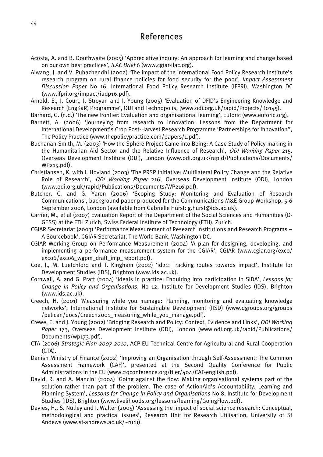## References

- Acosta, A. and B. Douthwaite (2005) 'Appreciative inquiry: An approach for learning and change based on our own best practices', *ILAC Brief* 6 (www.cgiar-ilac.org).
- Alwang, J. and V. Puhazhendhi (2002) 'The impact of the International Food Policy Research Institute's research program on rural finance policies for food security for the poor', *Impact Assessment Discussion Paper* No 16, International Food Policy Research Institute (IFPRI), Washington DC (www.ifpri.org/impact/iadp16.pdf).
- Arnold, E., J. Court, J. Stroyan and J. Young (2005) 'Evaluation of DFID's Engineering Knowledge and Research (EngKaR) Programme', ODI and Technopolis, (www.odi.org.uk/rapid/Projects/R0145).
- Barnard, G. (n.d.) 'The new frontier: Evaluation and organisational learning', Euforic (www.euforic.org).
- Barnett, A. (2006) 'Journeying from research to innovation: Lessons from the Department for International Development's Crop Post-Harvest Research Programme 'Partnerships for Innovation'', The Policy Practice (www.thepolicypractice.com/papers/1.pdf).
- Buchanan-Smith, M. (2003) 'How the Sphere Project Came into Being: A Case Study of Policy-making in the Humanitarian Aid Sector and the Relative Influence of Research', ODI Working Paper 215, Overseas Development Institute (ODI), London (www.odi.org.uk/rapid/Publications/Documents/ WP215.pdf).
- Christiansen, K. with I. Hovland (2003) 'The PRSP Initiative: Multilateral Policy Change and the Relative Role of Research', ODI Working Paper 216, Overseas Development Institute (ODI), London (www.odi.org.uk/rapid/Publications/Documents/WP216.pdf).
- Butcher, C. and G. Yaron (2006) 'Scoping Study: Monitoring and Evaluation of Research Communications', background paper produced for the Communications M&E Group Workshop, 5-6 September 2006, London (available from Gabrielle Hurst: g.hurst@ids.ac.uk).
- Carrier, M., et al (2007) Evaluation Report of the Department of the Social Sciences and Humanities (D-GESS) at the ETH Zurich, Swiss Federal Institute of Technology (ETH), Zurich.
- CGIAR Secretariat (2003) 'Performance Measurement of Research Institutions and Research Programs A Sourcebook', CGIAR Secretariat, The World Bank, Washington DC.
- CGIAR Working Group on Performance Measurement (2004) 'A plan for designing, developing, and implementing a performance measurement system for the CGIAR', CGIAR (www.cgiar.org/exco/ exco6/exco6\_wgpm\_draft\_imp\_report.pdf).
- Coe, J., M. Luetchford and T. Kingham (2002) 'id21: Tracking routes towards impact', Institute for Development Studies (IDS), Brighton (www.ids.ac.uk).
- Cornwall, A. and G. Pratt (2004) 'Ideals in practice: Enquiring into participation in SIDA', *Lessons for Change in Policy and Organisations*, No 12, Institute for Development Studies (IDS), Brighton (www.ids.ac.uk).
- Creech, H. (2001) 'Measuring while you manage: Planning, monitoring and evaluating knowledge networks', International Institute for Sustainable Development (IISD) (www.dgroups.org/groups /pelican/docs/Creech2001\_measuring\_while\_you\_manage.pdf).
- Crewe, E. and J. Young (2002) 'Bridging Research and Policy: Context, Evidence and Links', *ODI Working Paper* 173, Overseas Development Institute (ODI), London (www.odi.org.uk/rapid/Publications/ Documents/wp173.pdf).
- CTA (2006) *Strategic Plan 2007-2010*, ACP-EU Technical Centre for Agricultural and Rural Cooperation (CTA).
- Danish Ministry of Finance (2002) 'Improving an Organisation through Self-Assessment: The Common Assessment Framework (CAF)', presented at the Second Quality Conference for Public Administrations in the EU (www.2qconference.org/filer/404/CAF-english.pdf).
- David, R. and A. Mancini (2004) 'Going against the flow: Making organisational systems part of the solution rather than part of the problem. The case of ActionAid's Accountability, Learning and Planning System', *Lessons for Change in Policy and Organisations* No 8, Institute for Development Studies (IDS), Brighton (www.livelihoods.org/lessons/learning/GoingFlow.pdf).
- Davies, H., S. Nutley and I. Walter (2005) 'Assessing the impact of social science research: Conceptual, methodological and practical issues', Research Unit for Research Utilisation, University of St Andews (www.st-andrews.ac.uk/~ruru).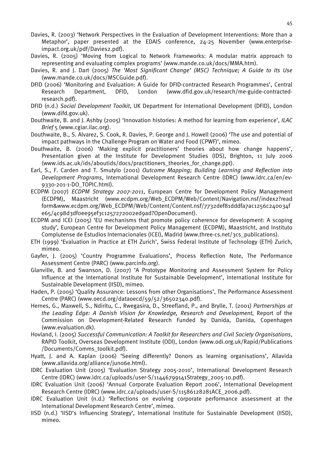- Davies, R. (2003) 'Network Perspectives in the Evaluation of Development Interventions: More than a Metaphor', paper presented at the EDAIS conference, 24-25 November (www.enterpriseimpact.org.uk/pdf/Davies2.pdf).
- Davies, R. (2005) 'Moving from Logical to Network Frameworks: A modular matrix approach to representing and evaluating complex programs' (www.mande.co.uk/docs/MMA.htm).
- Davies, R. and J. Dart (2005) *The 'Most Significant Change' (MSC) Technique; A Guide to Its Use* (www.mande.co.uk/docs/MSCGuide.pdf).
- DFID (2006) 'Monitoring and Evaluation: A Guide for DFID-contracted Research Programmes', Central Research Department, DFID, London (www.dfid.gov.uk/research/me-guide-contractedresearch.pdf).
- DFID (n.d.) *Social Development Toolkit*, UK Department for International Development (DFID), London (www.difd.gov.uk).
- Douthwaite, B. and J. Ashby (2005) 'Innovation histories: A method for learning from experience', *ILAC Brief* 5 (www.cgiar.ilac.org).
- Douthwaite, B., S. Alvarez, S. Cook, R. Davies, P. George and J. Howell (2006) 'The use and potential of impact pathways in the Challenge Program on Water and Food (CPWF)', mimeo.
- Douthwaite, B. (2006) 'Making explicit practitioners' theories about how change happens', Presentation given at the Institute for Development Studies (IDS), Brighton, 11 July 2006 (www.ids.ac.uk/ids/aboutids/docs/practitioners\_theories\_for\_change.ppt).
- Earl, S., F. Carden and T. Smutylo (2001) *Outcome Mapping; Building Learning and Reflection into Development Programs*, International Development Research Centre (IDRC) (www.idrc.ca/en/ev-9330-201-1-DO\_TOPIC.html).
- ECDPM (2007) *ECDPM Strategy 2007-2011*, European Centre for Development Policy Management (ECDPM), Maastricht (www.ecdpm.org/Web\_ECDPM/Web/Content/Navigation.nsf/index2?read form&www.ecdpm.org/Web\_ECDPM/Web/Content/Content.nsf/7732def81dddfa7ac1256c240034f e65/4c98d3df0ee95ef3c1257272002ed9ad?OpenDocument).
- ECDPM and ICEI (2005) 'EU mechanisms that promote policy coherence for development: A scoping study', European Centre for Development Policy Management (ECDPM), Maastricht, and Instituto Complutense de Estudios Internacionales (ICEI), Madrid (www.three-cs.net/3cs\_publications).
- ETH (1999) 'Evaluation in Practice at ETH Zurich', Swiss Federal Institute of Technology (ETH) Zurich, mimeo.
- Gayfer, J. (2005) 'Country Programme Evaluations', Process Reflection Note, The Performance Assessment Centre (PARC) (www.parcinfo.org).
- Glanville, B. and Swanson, D. (2007) 'A Prototype Monitoring and Assessment System for Policy Influence at the International Institute for Sustainable Development', International Institute for Sustainable Development (IISD), mimeo.
- Haden, P. (2005) 'Quality Assurance: Lessons from other Organisations', The Performance Assessment Centre (PARC) (www.oecd.org/dataoecd/59/52/36502340.pdf).
- Hernes, G., Maxwell, S., Ndiritu, C., Rwegasira, D., Streefland, P., and Brylle, T. (2001) *Partnerships at the Leading Edge: A Danish Vision for Knowledge, Research and Development*, Report of the Commission on Development-Related Research Funded by Danida, Danida, Copenhagen (www.evaluation.dk).
- Hovland, I. (2005) *Successful Communication: A Toolkit for Researchers and Civil Society Organisations*, RAPID Toolkit, Overseas Development Institute (ODI), London (www.odi.org.uk/Rapid/Publications /Documents/Comms\_toolkit.pdf).
- Hyatt, J. and A. Kaplan (2006) 'Seeing differently? Donors as learning organisations', Allavida (www.allavida.org/alliance/jun06e.html).
- IDRC Evaluation Unit (2005) 'Evaluation Strategy 2005-2010', International Development Research Centre (IDRC) (www.idrc.ca/uploads/user-S/11446799141Strategy\_2005-10.pdf).
- IDRC Evaluation Unit (2006) 'Annual Corporate Evaluation Report 2006', International Development Research Centre (IDRC) (www.idrc.ca/uploads/user-S/11586128281ACE\_2006.pdf).
- IDRC Evaluation Unit (n.d.) 'Reflections on evolving corporate performance assessment at the International Development Research Centre', mimeo.
- IISD (n.d.) 'IISD's Influencing Strategy', International Institute for Sustainable Development (IISD), mimeo.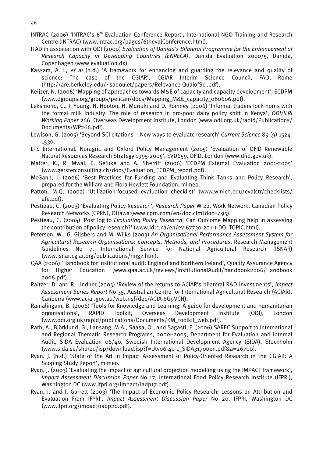- 46
- INTRAC (2006) 'INTRAC's 6<sup>th</sup> Evaluation Conference Report', International NGO Training and Research Centre (INTRAC) (www.intrac.org/pages/6thevalConference.html).
- ITAD in association with ODI (2000) *Evaluation of Danida's Bilateral Programme for the Enhancement of Research Capacity in Developing Countries (ENRECA)*, Danida Evaluation 2000/5, Danida, Copenhagen (www.evaluation.dk).
- Kassam, A.H., et al (n.d.) 'A framework for enhancing and guarding the relevance and quality of science: The case of the CGIAR', CGIAR Interim Science Council, FAO, Rome (http://are.berkeley.edu/~sadoulet/papers/Relevance-QualofSci.pdf).
- Keijzer, N. (2006) 'Mapping of approaches towards M&E of capacity and capacity development', ECDPM (www.dgroups.org/groups/pelican/docs/Mapping\_M&E\_capacity\_080606.pdf).
- Leksmono, C., J. Young, N. Hooton, H. Muriuki and D. Romney (2006) 'Informal traders lock horns with the formal milk industry: The role of research in pro-poor dairy policy shift in Kenya', *ODI/ILRI Working Paper* 266, Overseas Development Institute, London (www.odi.org.uk/rapid/Publications/ Documents/WP266.pdf).
- Lewison, G. (2005) 'Beyond SCI citations New ways to evaluate research' *Current Science* 89 (9) 1524- 1530.
- LTS International, Noragric and Oxford Policy Management (2005) 'Evaluation of DFID Renewable Natural Resources Research Strategy 1995-2005', EVD659, DFID, London (www.dfid.gov.uk).
- Matter, K., R. Mwai, E. Sefuke and A. Sherriff (2006) 'ECDPM External Evaluation 2001-2005' (www.gersterconsulting.ch/docs/Evaluation\_ECDPM\_report.pdf).
- McGann, J. (2006) 'Best Practices for Funding and Evaluating Think Tanks and Policy Research', prepared for the William and Flora Hewlett Foundation, mimeo.
- Patton, M.Q. (2002) 'Utilization-focused evaluation checklist' (www.wmich.edu/evalctr/checklists/ ufe.pdf).
- Pestieau, C. (2003) 'Evaluating Policy Research', *Research Paper* W 22, Work Network, Canadian Policy Research Networks (CPRN), Ottawa (www.cprn.com/en/doc.cfm?doc=495).
- Pestieau, C. (2004) 'Post log to *Evaluating Policy Research*: Can Outcome Mapping help in assessing the contribution of policy research?' (www.idrc.ca/en/ev-67730-201-1-DO\_TOPIC.html).
- Peterson, W., G. Gijsbers and M. Wilks (2003) *An Organisational Performance Assessment System for Agricultural Research Organisations: Concepts, Methods, and Procedures*, Research Management Guidelines No 7, International Service for National Agricultural Research (ISNAR) (www.isnar.cgiar.org/publications/rmg7.htm).
- QAA (2006) 'Handbook for institutional audit: England and Northern Ireland', Quality Assurance Agency for Higher Education (www.qaa.ac.uk/reviews/institutionalAudit/handbook2006/Handbook 2006.pdf).
- Raitzer, D. and R. Lindner (2005) 'Review of the returns to ACIAR's bilateral R&D investments', *Impact Assessment Series Report* No 35, Australian Centre for International Agricultural Research (ACIAR), Canberra (www.aciar.gov.au/web.nsf/doc/ACIA-6G9VCN).
- Ramalingam, B. (2006) 'Tools for Knowledge and Learning: A guide for development and humanitarian organisations', RAPID Toolkit, Overseas Development Institute (ODI), London (www.odi.org.uk/rapid/publications/Documents/KM\_toolkit\_web.pdf).
- Rath, A., Björklund, G., Lansang, M.A., Saasa, O., and Sagasti, F. (2006) SAREC Support to International and Regional Thematic Research Programs, 2000–2005, Department for Evaluation and Internal Audit, SIDA Evaluation 06/40, Swedish International Development Agency (SIDA), Stockholm (www.sida.se/shared/jsp/download.jsp?f=Utv06-40-1\_SIDA31700en.pdf&a=26700).
- Ryan, J. (n.d.) 'State of the Art in Impact Assessment of Policy-Oriented Research in the CGIAR: A Scoping Study Report', mimeo.
- Ryan, J. (2003) 'Evaluating the impact of agricultural projection modelling using the IMPACT framework', *Impact Assessment Discussion Paper* No 17, International Food Policy Research Institute (IFPRI), Washington DC (www.ifpri.org/impact/iadp17.pdf).
- Ryan, J. and J. Garrett (2003) 'The Impact of Economic Policy Research: Lessons on Attribution and Evaluation From IFPRI', *Impact Assessment Discussion Paper* No 20, IFPRI, Washington DC (www.ifpri.org/impact/iadp20.pdf).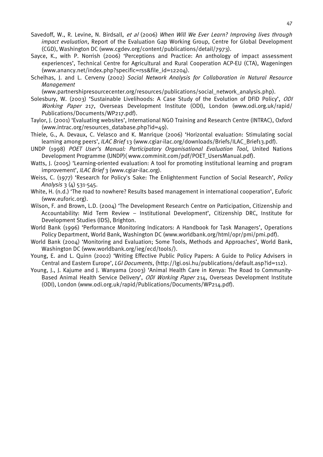- Savedoff, W., R. Levine, N. Birdsall, et al (2006) *When Will We Ever Learn? Improving lives through impact evaluation*, Report of the Evaluation Gap Working Group, Centre for Global Development (CGD), Washington DC (www.cgdev.org/content/publications/detail/7973).
- Sayce, K., with P. Norrish (2006) 'Perceptions and Practice: An anthology of impact assessment experiences', Technical Centre for Agricultural and Rural Cooperation ACP-EU (CTA), Wageningen (www.anancy.net/index.php?specific=rss&file\_id=12204).
- Schelhas, J. and L. Cerveny (2002) *Social Network Analysis for Collaboration in Natural Resource Management*

(www.partnershipresourcecenter.org/resources/publications/social\_network\_analysis.php).

- Solesbury, W. (2003) 'Sustainable Livelihoods: A Case Study of the Evolution of DFID Policy', ODI Working Paper 217, Overseas Development Institute (ODI), London (www.odi.org.uk/rapid/ Publications/Documents/WP217.pdf).
- Taylor, J. (2001) 'Evaluating websites', International NGO Training and Research Centre (INTRAC), Oxford (www.intrac.org/resources\_database.php?id=49).
- Thiele, G., A. Devaux, C. Velasco and K. Manrique (2006) 'Horizontal evaluation: Stimulating social learning among peers', *ILAC Brief* 13 (www.cgiar-ilac.org/downloads/Briefs/ILAC\_Brief13.pdf).
- UNDP (1998) *POET User's Manual: Participatory Organisational Evaluation Tool*, United Nations Development Programme (UNDP)( www.comminit.com/pdf/POET\_UsersManual.pdf).
- Watts, J. (2005) 'Learning-oriented evaluation: A tool for promoting institutional learning and program improvement', *ILAC Brief* 3 (www.cgiar-ilac.org).
- Weiss, C. (1977) 'Research for Policy's Sake: The Enlightenment Function of Social Research', *Policy Analysis* 3 (4) 531-545.
- White, H. (n.d.) 'The road to nowhere? Results based management in international cooperation', Euforic (www.euforic.org).
- Wilson, F. and Brown, L.D. (2004) 'The Development Research Centre on Participation, Citizenship and Accountability: Mid Term Review – Institutional Development', Citizenship DRC, Institute for Development Studies (IDS), Brighton.
- World Bank (1996) 'Performance Monitoring Indicators: A Handbook for Task Managers', Operations Policy Department, World Bank, Washington DC (www.worldbank.org/html/opr/pmi/pmi.pdf).
- World Bank (2004) 'Monitoring and Evaluation; Some Tools, Methods and Approaches', World Bank, Washington DC (www.worldbank.org/ieg/ecd/tools/).
- Young, E. and L. Quinn (2002) 'Writing Effective Public Policy Papers: A Guide to Policy Advisers in Central and Eastern Europe', *LGI Documents*, (http://lgi.osi.hu/publications/default.asp?id=112).
- Young, J., J. Kajume and J. Wanyama (2003) 'Animal Health Care in Kenya: The Road to Community-Based Animal Health Service Delivery', ODI Working Paper 214, Overseas Development Institute (ODI), London (www.odi.org.uk/rapid/Publications/Documents/WP214.pdf).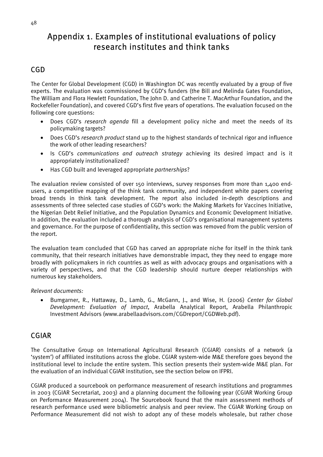# Appendix 1. Examples of institutional evaluations of policy research institutes and think tanks

# CGD

The Center for Global Development (CGD) in Washington DC was recently evaluated by a group of five experts. The evaluation was commissioned by CGD's funders (the Bill and Melinda Gates Foundation, The William and Flora Hewlett Foundation, The John D. and Catherine T. MacArthur Foundation, and the Rockefeller Foundation), and covered CGD's first five years of operations. The evaluation focused on the following core questions:

- Does CGD's *research agenda* fill a development policy niche and meet the needs of its policymaking targets?
- Does CGD's *research product* stand up to the highest standards of technical rigor and influence the work of other leading researchers?
- Is CGD's *communications and outreach strategy* achieving its desired impact and is it appropriately institutionalized?
- Has CGD built and leveraged appropriate *partnerships*?

The evaluation review consisted of over 150 interviews, survey responses from more than 1,400 endusers, a competitive mapping of the think tank community, and independent white papers covering broad trends in think tank development. The report also included in-depth descriptions and assessments of three selected case studies of CGD's work: the Making Markets for Vaccines Initiative, the Nigerian Debt Relief Initiative, and the Population Dynamics and Economic Development Initiative. In addition, the evaluation included a thorough analysis of CGD's organisational management systems and governance. For the purpose of confidentiality, this section was removed from the public version of the report.

The evaluation team concluded that CGD has carved an appropriate niche for itself in the think tank community, that their research initiatives have demonstrable impact, they they need to engage more broadly with policymakers in rich countries as well as with advocacy groups and organisations with a variety of perspectives, and that the CGD leadership should nurture deeper relationships with numerous key stakeholders.

#### *Relevant documents:*

• Bumgarner, R., Hattaway, D., Lamb, G., McGann, J., and Wise, H. (2006) *Center for Global Development: Evaluation of Impact*, Arabella Analytical Report, Arabella Philanthropic Investment Advisors (www.arabellaadvisors.com/CGDreport/CGDWeb.pdf).

## CGIAR

The Consultative Group on International Agricultural Research (CGIAR) consists of a network (a 'system') of affiliated institutions across the globe. CGIAR system-wide M&E therefore goes beyond the institutional level to include the entire system. This section presents their system-wide M&E plan. For the evaluation of an individual CGIAR institution, see the section below on IFPRI.

CGIAR produced a sourcebook on performance measurement of research institutions and programmes in 2003 (CGIAR Secretariat, 2003) and a planning document the following year (CGIAR Working Group on Performance Measurement 2004). The Sourcebook found that the main assessment methods of research performance used were bibliometric analysis and peer review. The CGIAR Working Group on Performance Measurement did not wish to adopt any of these models wholesale, but rather chose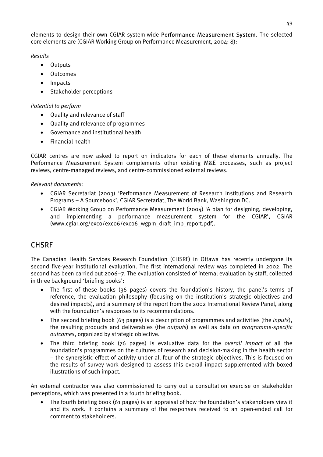elements to design their own CGIAR system-wide Performance Measurement System. The selected core elements are (CGIAR Working Group on Performance Measurement, 2004: 8):

*Results* 

- Outputs
- Outcomes
- Impacts
- Stakeholder perceptions

#### *Potential to perform*

- Quality and relevance of staff
- Quality and relevance of programmes
- Governance and institutional health
- Financial health

CGIAR centres are now asked to report on indicators for each of these elements annually. The Performance Measurement System complements other existing M&E processes, such as project reviews, centre-managed reviews, and centre-commissioned external reviews.

#### *Relevant documents:*

- CGIAR Secretariat (2003) 'Performance Measurement of Research Institutions and Research Programs – A Sourcebook', CGIAR Secretariat, The World Bank, Washington DC.
- CGIAR Working Group on Performance Measurement (2004) 'A plan for designing, developing, and implementing a performance measurement system for the CGIAR', CGIAR (www.cgiar.org/exco/exco6/exco6\_wgpm\_draft\_imp\_report.pdf).

## **CHSRF**

The Canadian Health Services Research Foundation (CHSRF) in Ottawa has recently undergone its second five-year institutional evaluation. The first international review was completed in 2002. The second has been carried out 2006–7. The evaluation consisted of internal evaluation by staff, collected in three background 'briefing books':

- The first of these books (36 pages) covers the foundation's history, the panel's terms of reference, the evaluation philosophy (focusing on the institution's strategic objectives and desired impacts), and a summary of the report from the 2002 International Review Panel, along with the foundation's responses to its recommendations.
- The second briefing book (63 pages) is a description of programmes and activities (the *inputs*), the resulting products and deliverables (the *outputs*) as well as data on *programme-specific outcomes*, organized by strategic objective.
- The third briefing book (76 pages) is evaluative data for the *overall impact* of all the foundation's programmes on the cultures of research and decision-making in the health sector – the synergistic effect of activity under all four of the strategic objectives. This is focused on the results of survey work designed to assess this overall impact supplemented with boxed illustrations of such impact.

An external contractor was also commissioned to carry out a consultation exercise on stakeholder perceptions, which was presented in a fourth briefing book.

• The fourth briefing book (61 pages) is an appraisal of how the foundation's stakeholders view it and its work. It contains a summary of the responses received to an open-ended call for comment to stakeholders.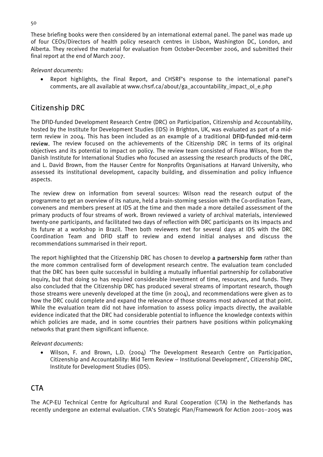These briefing books were then considered by an international external panel. The panel was made up of four CEOs/Directors of health policy research centres in Lisbon, Washington DC, London, and Alberta. They received the material for evaluation from October-December 2006, and submitted their final report at the end of March 2007.

#### *Relevant documents:*

• Report highlights, the Final Report, and CHSRF's response to the international panel's comments, are all available at www.chsrf.ca/about/ga\_accountability\_impact\_ol\_e.php

## Citizenship DRC

The DFID-funded Development Research Centre (DRC) on Participation, Citizenship and Accountability, hosted by the Institute for Development Studies (IDS) in Brighton, UK, was evaluated as part of a midterm review in 2004. This has been included as an example of a traditional DFID-funded mid-term review. The review focused on the achievements of the Citizenship DRC in terms of its original objectives and its potential to impact on policy. The review team consisted of Fiona Wilson, from the Danish Institute for International Studies who focused an assessing the research products of the DRC, and L. David Brown, from the Hauser Centre for Nonprofits Organisations at Harvard University, who assessed its institutional development, capacity building, and dissemination and policy influence aspects.

The review drew on information from several sources: Wilson read the research output of the programme to get an overview of its nature, held a brain-storming session with the Co-ordination Team, conveners and members present at IDS at the time and then made a more detailed assessment of the primary products of four streams of work. Brown reviewed a variety of archival materials, interviewed twenty-one participants, and facilitated two days of reflection with DRC participants on its impacts and its future at a workshop in Brazil. Then both reviewers met for several days at IDS with the DRC Coordination Team and DFID staff to review and extend initial analyses and discuss the recommendations summarised in their report.

The report highlighted that the Citizenship DRC has chosen to develop a partnership form rather than the more common centralised form of development research centre. The evaluation team concluded that the DRC has been quite successful in building a mutually influential partnership for collaborative inquiry, but that doing so has required considerable investment of time, resources, and funds. They also concluded that the Citizenship DRC has produced several streams of important research, though those streams were unevenly developed at the time (in 2004), and recommendations were given as to how the DRC could complete and expand the relevance of those streams most advanced at that point. While the evaluation team did not have information to assess policy impacts directly, the available evidence indicated that the DRC had considerable potential to influence the knowledge contexts within which policies are made, and in some countries their partners have positions within policymaking networks that grant them significant influence.

#### *Relevant documents:*

• Wilson, F. and Brown, L.D. (2004) 'The Development Research Centre on Participation, Citizenship and Accountability: Mid Term Review – Institutional Development', Citizenship DRC, Institute for Development Studies (IDS).

## CTA

The ACP-EU Technical Centre for Agricultural and Rural Cooperation (CTA) in the Netherlands has recently undergone an external evaluation. CTA's Strategic Plan/Framework for Action 2001–2005 was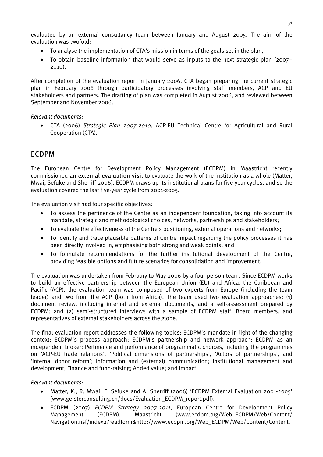evaluated by an external consultancy team between January and August 2005. The aim of the evaluation was twofold:

- To analyse the implementation of CTA's mission in terms of the goals set in the plan,
- To obtain baseline information that would serve as inputs to the next strategic plan (2007– 2010).

After completion of the evaluation report in January 2006, CTA began preparing the current strategic plan in February 2006 through participatory processes involving staff members, ACP and EU stakeholders and partners. The drafting of plan was completed in August 2006, and reviewed between September and November 2006.

*Relevant documents:* 

• CTA (2006) *Strategic Plan 2007-2010*, ACP-EU Technical Centre for Agricultural and Rural Cooperation (CTA).

## ECDPM

The European Centre for Development Policy Management (ECDPM) in Maastricht recently commissioned an external evaluation visit to evaluate the work of the institution as a whole (Matter, Mwai, Sefuke and Sherriff 2006). ECDPM draws up its institutional plans for five-year cycles, and so the evaluation covered the last five-year cycle from 2001-2005.

The evaluation visit had four specific objectives:

- To assess the pertinence of the Centre as an independent foundation, taking into account its mandate, strategic and methodological choices, networks, partnerships and stakeholders;
- To evaluate the effectiveness of the Centre's positioning, external operations and networks;
- To identify and trace plausible patterns of Centre impact regarding the policy processes it has been directly involved in, emphasising both strong and weak points; and
- To formulate recommendations for the further institutional development of the Centre, providing feasible options and future scenarios for consolidation and improvement.

The evaluation was undertaken from February to May 2006 by a four-person team. Since ECDPM works to build an effective partnership between the European Union (EU) and Africa, the Caribbean and Pacific (ACP), the evaluation team was composed of two experts from Europe (including the team leader) and two from the ACP (both from Africa). The team used two evaluation approaches: (1) document review, including internal and external documents, and a self-assessment prepared by ECDPM; and (2) semi-structured interviews with a sample of ECDPM staff, Board members, and representatives of external stakeholders across the globe.

The final evaluation report addresses the following topics: ECDPM's mandate in light of the changing context; ECDPM's process approach; ECDPM's partnership and network approach; ECDPM as an independent broker; Pertinence and performance of programmatic choices, including the programmes on 'ACP-EU trade relations', 'Political dimensions of partnerships', 'Actors of partnerships', and 'Internal donor reform'; Information and (external) communication; Institutional management and development; Finance and fund-raising; Added value; and Impact.

#### *Relevant documents:*

- Matter, K., R. Mwai, E. Sefuke and A. Sherriff (2006) 'ECDPM External Evaluation 2001-2005' (www.gersterconsulting.ch/docs/Evaluation\_ECDPM\_report.pdf).
- ECDPM (2007) *ECDPM Strategy 2007-2011*, European Centre for Development Policy Management (ECDPM), Maastricht (www.ecdpm.org/Web\_ECDPM/Web/Content/ Navigation.nsf/index2?readform&http://www.ecdpm.org/Web\_ECDPM/Web/Content/Content.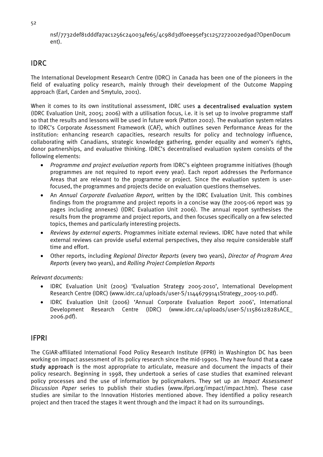52

nsf/7732def81dddfa7ac1256c240034fe65/4c98d3df0ee95ef3c1257272002ed9ad?OpenDocum ent).

## IDRC

The International Development Research Centre (IDRC) in Canada has been one of the pioneers in the field of evaluating policy research, mainly through their development of the Outcome Mapping approach (Earl, Carden and Smytulo, 2001).

When it comes to its own institutional assessment, IDRC uses a decentralised evaluation system (IDRC Evaluation Unit, 2005; 2006) with a utilisation focus, i.e. it is set up to involve programme staff so that the results and lessons will be used in future work (Patton 2002). The evaluation system relates to IDRC's Corporate Assessment Framework (CAF), which outlines seven Performance Areas for the institution: enhancing research capacities, research results for policy and technology influence, collaborating with Canadians, strategic knowledge gathering, gender equality and women's rights, donor partnerships, and evaluative thinking. IDRC's decentralised evaluation system consists of the following elements:

- *Programme and project evaluation reports* from IDRC's eighteen programme initiatives (though programmes are not required to report every year). Each report addresses the Performance Areas that are relevant to the programme or project. Since the evaluation system is userfocused, the programmes and projects decide on evaluation questions themselves.
- An *Annual Corporate Evaluation Report*, written by the IDRC Evaluation Unit. This combines findings from the programme and project reports in a concise way (the 2005-06 report was 39 pages including annexes) (IDRC Evaluation Unit 2006). The annual report synthesises the results from the programme and project reports, and then focuses specifically on a few selected topics, themes and particularly interesting projects.
- *Reviews by external experts*. Programmes initiate external reviews. IDRC have noted that while external reviews can provide useful external perspectives, they also require considerable staff time and effort.
- Other reports, including *Regional Director Reports* (every two years), *Director of Program Area Reports* (every two years), and *Rolling Project Completion Reports*

*Relevant documents:* 

- IDRC Evaluation Unit (2005) 'Evaluation Strategy 2005-2010', International Development Research Centre (IDRC) (www.idrc.ca/uploads/user-S/11446799141Strategy\_2005-10.pdf).
- IDRC Evaluation Unit (2006) 'Annual Corporate Evaluation Report 2006', International Development Research Centre (IDRC) (www.idrc.ca/uploads/user-S/11586128281ACE\_ 2006.pdf).

## IFPRI

The CGIAR-affiliated International Food Policy Research Institute (IFPRI) in Washington DC has been working on impact assessment of its policy research since the mid-1990s. They have found that a case study approach is the most appropriate to articulate, measure and document the impacts of their policy research. Beginning in 1998, they undertook a series of case studies that examined relevant policy processes and the use of information by policymakers. They set up an *Impact Assessment Discussion Paper* series to publish their studies (www.ifpri.org/impact/impact.htm). These case studies are similar to the Innovation Histories mentioned above. They identified a policy research project and then traced the stages it went through and the impact it had on its surroundings.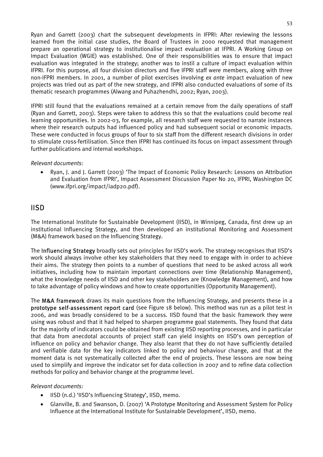Ryan and Garrett (2003) chart the subsequent developments in IFPRI: After reviewing the lessons learned from the initial case studies, the Board of Trustees in 2000 requested that management prepare an operational strategy to institutionalise impact evaluation at IFPRI. A Working Group on Impact Evaluation (WGIE) was established. One of their responsibilities was to ensure that impact evaluation was integrated in the strategy; another was to instil a culture of impact evaluation within IFPRI. For this purpose, all four division directors and five IFPRI staff were members, along with three non-IFPRI members. In 2001, a number of pilot exercises involving *ex ante* impact evaluation of new projects was tried out as part of the new strategy, and IFPRI also conducted evaluations of some of its thematic research programmes (Alwang and Puhazhendhi, 2002; Ryan, 2003).

IFPRI still found that the evaluations remained at a certain remove from the daily operations of staff (Ryan and Garrett, 2003). Steps were taken to address this so that the evaluations could become real learning opportunities. In 2002-03, for example, all research staff were requested to narrate instances where their research outputs had influenced policy and had subsequent social or economic impacts. These were conducted in focus groups of four to six staff from the different research divisions in order to stimulate cross-fertilisation. Since then IFPRI has continued its focus on impact assessment through further publications and internal workshops.

#### *Relevant documents:*

• Ryan, J. and J. Garrett (2003) 'The Impact of Economic Policy Research: Lessons on Attribution and Evaluation from IFPRI', Impact Assessment Discussion Paper No 20, IFPRI, Washington DC (www.ifpri.org/impact/iadp20.pdf).

## IISD

The International Institute for Sustainable Development (IISD), in Winnipeg, Canada, first drew up an institutional Influencing Strategy, and then developed an institutional Monitoring and Assessment (M&A) framework based on the Influencing Strategy.

The Influencing Strategy broadly sets out principles for IISD's work. The strategy recognises that IISD's work should always involve other key stakeholders that they need to engage with in order to achieve their aims. The strategy then points to a number of questions that need to be asked across all work initiatives, including how to maintain important connections over time (Relationship Management), what the knowledge needs of IISD and other key stakeholders are (Knowledge Management), and how to take advantage of policy windows and how to create opportunities (Opportunity Management).

The M&A framework draws its main questions from the Influencing Strategy, and presents these in a prototype self-assessment report card (see Figure 18 below). This method was run as a pilot test in 2006, and was broadly considered to be a success. IISD found that the basic framework they were using was robust and that it had helped to sharpen programme goal statements. They found that data for the majority of indicators could be obtained from existing IISD reporting processes, and in particular that data from anecdotal accounts of project staff can yield insights on IISD's own perception of influence on policy and behavior change. They also learnt that they do not have sufficiently detailed and verifiable data for the key indicators linked to policy and behaviour change, and that at the moment data is not systematically collected after the end of projects. These lessons are now being used to simplify and improve the indicator set for data collection in 2007 and to refine data collection methods for policy and behavior change at the programme level.

#### *Relevant documents:*

- IISD (n.d.) 'IISD's Influencing Strategy', IISD, memo.
- Glanville, B. and Swanson, D. (2007) 'A Prototype Monitoring and Assessment System for Policy Influence at the International Institute for Sustainable Development', IISD, memo.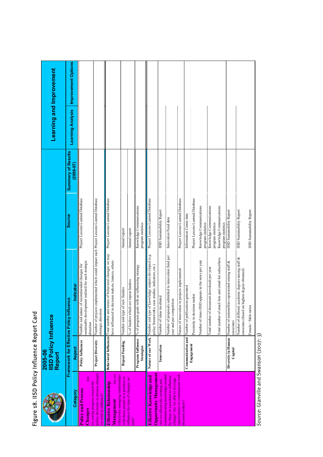# Figure 18. IISD Policy Influence Report Card Figure 18. IISD Policy Influence Report Card

|                                                                                                          | <b>IISD Policy Influence</b><br>2005-06<br>Report |                                                                                                                     |                                                |                          | <b>Learning and Improvement</b> |
|----------------------------------------------------------------------------------------------------------|---------------------------------------------------|---------------------------------------------------------------------------------------------------------------------|------------------------------------------------|--------------------------|---------------------------------|
|                                                                                                          | Framework for Effective Policy Influ              | ence                                                                                                                | <b>Summary of Results</b><br><b>Source</b>     |                          | Improvement Options             |
| Category                                                                                                 | Aspect                                            | Indicator                                                                                                           | $(2006 - 07)$                                  | <b>Learning Analysis</b> |                                 |
| Are<br><b>Policy and Process</b><br>Changes                                                              | <b>Policy Influences</b>                          | sustainable development realized for each strategic<br>of recommended changes for<br>Number and nature<br>direction | Project Lessons Learned Database               |                          |                                 |
| policy decisions or process changes<br>we seeing progress toward the<br>we wish to influence?            | <b>Project Diversity</b>                          | implemented which could impact each Project Lessons Learned Database<br>Number of projects<br>strategic direction   |                                                |                          |                                 |
| <b>Are we</b><br>effectively managing relationships<br><b>Effective Relationship</b><br>Management       | <b>Behavioral Influences</b>                      | Total number and nature of behavioral changes we may<br>nave influenced in decision makers, leaners, others.        | Project Lessons Learned Database               |                          |                                 |
| with those people in a position to                                                                       | <b>Repeat Funding</b>                             | new funders<br>Number and type of                                                                                   | Annual report                                  |                          |                                 |
| influence the type of changes we<br>$sek$ ?                                                              |                                                   | % of funders which are repeat funders                                                                               | Annual report                                  |                          |                                 |
|                                                                                                          | Program Influence<br>Strategies                   | % of program goals with an influencing strategy                                                                     | Knowledge Communications<br>program statistics |                          |                                 |
| <b>Opportunity Management</b><br>Effective Knowledge and                                                 | Nature of our Work                                | knowledge outputs developed (e.g.<br>case studies, indicators, etc.)<br>Number and type of<br>policy frameworks,    | Project Lessons Learned Database               |                          |                                 |
| Are we effectively creating and                                                                          | Innovation                                        | Number of ideas incubated                                                                                           | <b>IISD</b> Sustainability Report              |                          |                                 |
| communicating knowledge needed<br>by those in a position to influence<br>change? Are we able to leverage |                                                   | Number of proposals submitted to innovation fund per<br>year and per competition                                    | Innovation Fund data                           |                          |                                 |
| opportunities to communicate with<br>decision makers?                                                    |                                                   | Nature of innovation in projects implemented                                                                        | Project Lessons Learned Database               |                          |                                 |
|                                                                                                          |                                                   | Communication and Number of publications generated                                                                  | Information Centre data                        |                          |                                 |
|                                                                                                          | Engagement                                        | Proximity to decision maker                                                                                         | Project Lessons Learned Database               |                          |                                 |
|                                                                                                          |                                                   | Number of times IISD appears in the news per year                                                                   | Knowledge Communications<br>program statistics |                          |                                 |
|                                                                                                          |                                                   | Total number of document downloads per year                                                                         | Knowledge Communications<br>program statistics |                          |                                 |
|                                                                                                          |                                                   | ail lists and email list subscribers<br>Iotal number of em                                                          | Knowledge Communications<br>program statistics |                          |                                 |
|                                                                                                          | Diversity in Human<br>Capital                     | Number of nationalities represented among staff &<br>associates                                                     | <b>IISD</b> Sustainability Report              |                          |                                 |
|                                                                                                          |                                                   | academic degrees among staff &<br>highest degree obtained)<br>Number of different<br>associates (based on           | <b>IISD Sustainability Report</b>              |                          |                                 |
|                                                                                                          |                                                   | Female / Male ratios                                                                                                | <b>IISD Sustainability Report</b>              |                          |                                 |
|                                                                                                          |                                                   |                                                                                                                     |                                                |                          |                                 |

Source: Glanville and Swanson (2007: 3) *Source*: Glanville and Swanson (2007: 3)